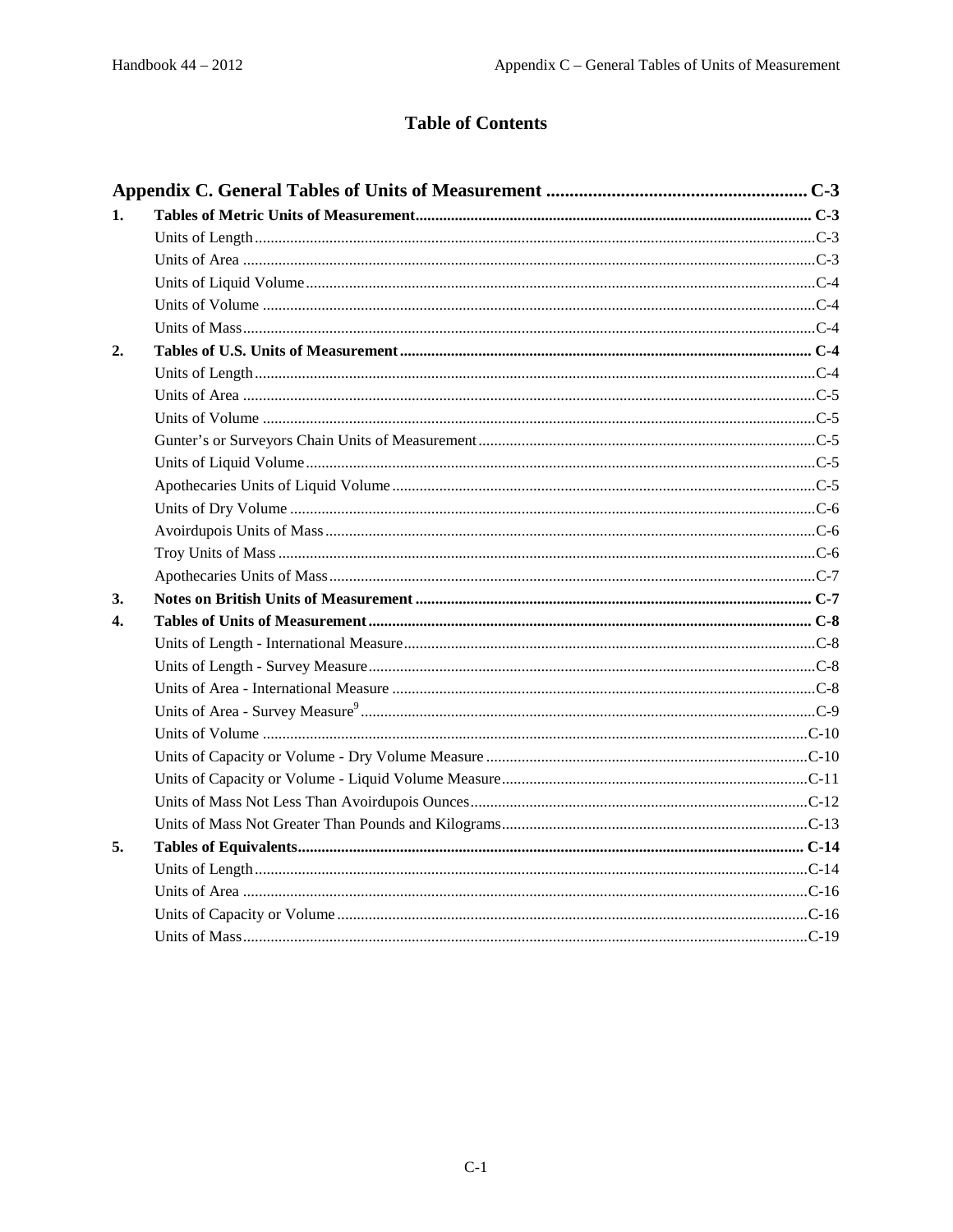# **Table of Contents**

| 1.               |  |
|------------------|--|
|                  |  |
|                  |  |
|                  |  |
|                  |  |
|                  |  |
| $\overline{2}$ . |  |
|                  |  |
|                  |  |
|                  |  |
|                  |  |
|                  |  |
|                  |  |
|                  |  |
|                  |  |
|                  |  |
|                  |  |
| 3.               |  |
| $\mathbf{4}$     |  |
|                  |  |
|                  |  |
|                  |  |
|                  |  |
|                  |  |
|                  |  |
|                  |  |
|                  |  |
|                  |  |
| 5.               |  |
|                  |  |
|                  |  |
|                  |  |
|                  |  |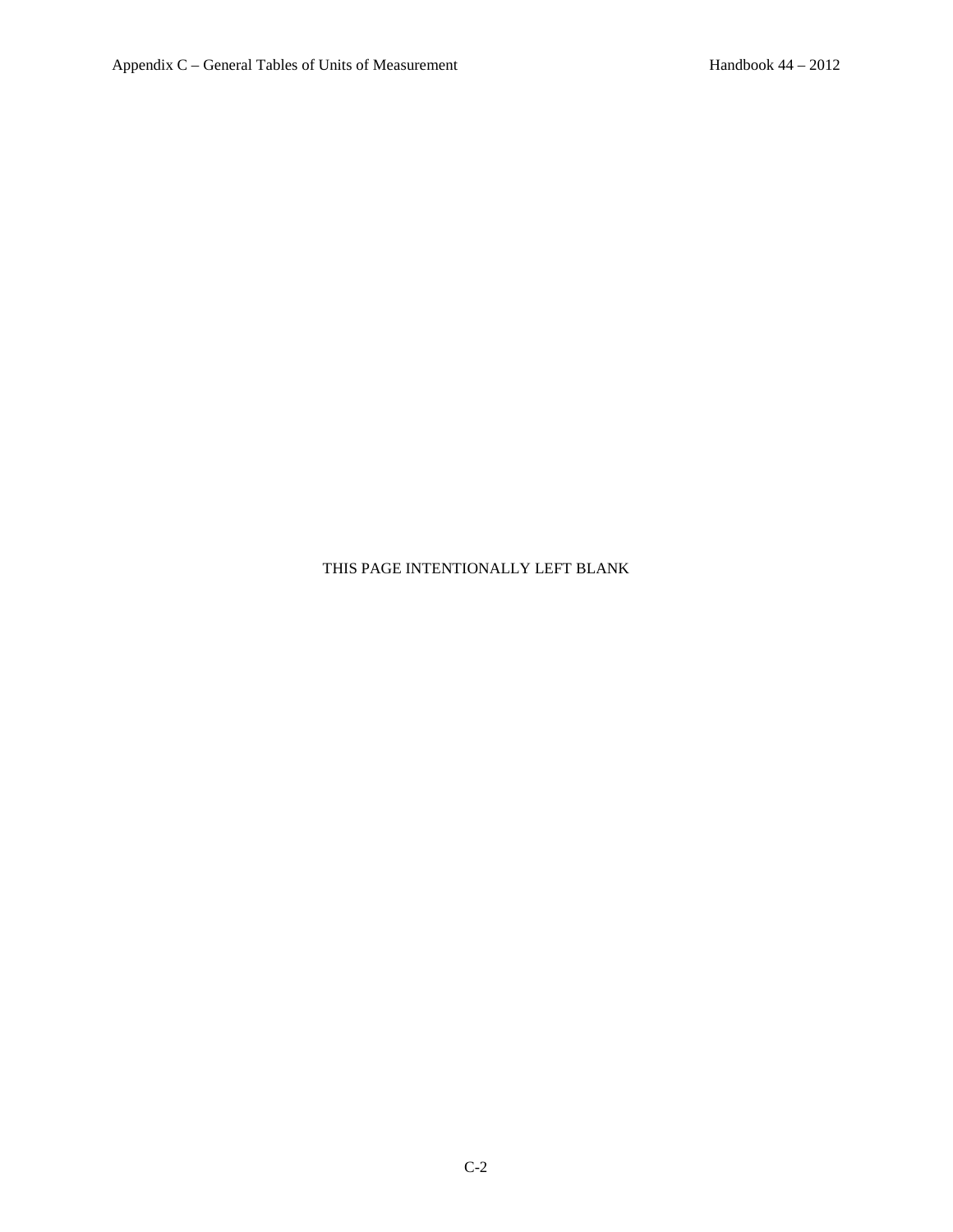# THIS PAGE INTENTIONALLY LEFT BLANK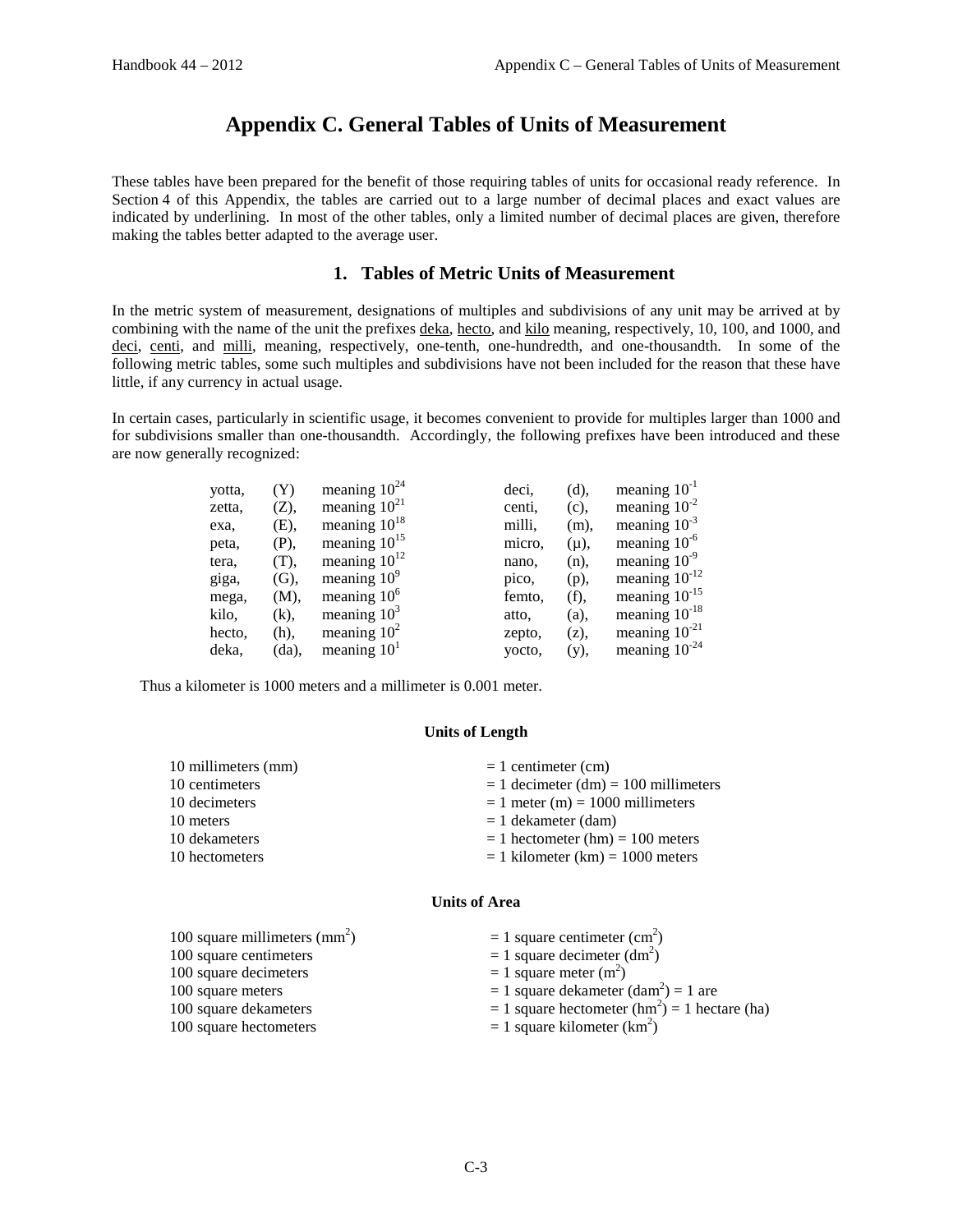# **Appendix C. General Tables of Units of Measurement**

<span id="page-2-0"></span>These tables have been prepared for the benefit of those requiring tables of units for occasional ready reference. In Section 4 of this Appendix, the tables are carried out to a large number of decimal places and exact values are indicated by underlining. In most of the other tables, only a limited number of decimal places are given, therefore making the tables better adapted to the average user.

## **1. Tables of Metric Units of Measurement**

<span id="page-2-1"></span>In the metric system of measurement, designations of multiples and subdivisions of any unit may be arrived at by combining with the name of the unit the prefixes deka, hecto, and kilo meaning, respectively, 10, 100, and 1000, and deci, centi, and milli, meaning, respectively, one-tenth, one-hundredth, and one-thousandth. In some of the following metric tables, some such multiples and subdivisions have not been included for the reason that these have little, if any currency in actual usage.

In certain cases, particularly in scientific usage, it becomes convenient to provide for multiples larger than 1000 and for subdivisions smaller than one-thousandth. Accordingly, the following prefixes have been introduced and these are now generally recognized:

| yotta, | (Y)      | meaning $10^{24}$ | deci,  | (d),      | meaning $10^{-1}$  |
|--------|----------|-------------------|--------|-----------|--------------------|
| zetta, | (Z),     | meaning $10^{21}$ | centi, | (c),      | meaning $10^{-2}$  |
| exa,   | (E),     | meaning $10^{18}$ | milli, | (m),      | meaning $10^{-3}$  |
| peta,  | (P),     | meaning $10^{15}$ | micro, | $(\mu)$ , | meaning $10^{-6}$  |
| tera,  | (T),     | meaning $10^{12}$ | nano,  | (n),      | meaning $10^{-9}$  |
| giga,  | (G),     | meaning $10^9$    | pico,  | (p),      | meaning $10^{-12}$ |
| mega,  | (M),     | meaning $10^6$    | femto, | (f),      | meaning $10^{-15}$ |
| kilo,  | (k),     | meaning $103$     | atto.  | (a),      | meaning $10^{-18}$ |
| hecto, | (h),     | meaning $102$     | zepto, | (z),      | meaning $10^{-21}$ |
| deka,  | $(da)$ . | meaning $101$     | vocto, | (y),      | meaning $10^{-24}$ |

Thus a kilometer is 1000 meters and a millimeter is 0.001 meter.

#### <span id="page-2-2"></span>**Units of Length**

| 10 millimeters (mm) | $= 1$ centimeter (cm)                    |
|---------------------|------------------------------------------|
| 10 centimeters      | $= 1$ decimeter (dm) $= 100$ millimeters |
| 10 decimeters       | $= 1$ meter (m) $= 1000$ millimeters     |
| 10 meters           | $= 1$ dekameter (dam)                    |
| 10 dekameters       | $= 1$ hectometer (hm) $= 100$ meters     |
| 10 hectometers      | $= 1$ kilometer (km) = 1000 meters       |

#### <span id="page-2-3"></span>**Units of Area**

<span id="page-2-4"></span>

| 100 square millimeters $\text{(mm}^2)$ | $= 1$ square centimeter (cm <sup>2</sup> )                  |
|----------------------------------------|-------------------------------------------------------------|
| 100 square centimeters                 | $= 1$ square decimeter (dm <sup>2</sup> )                   |
| 100 square decimeters                  | $= 1$ square meter (m <sup>2</sup> )                        |
| 100 square meters                      | $= 1$ square dekameter (dam <sup>2</sup> ) = 1 are          |
| 100 square dekameters                  | $= 1$ square hectometer (hm <sup>2</sup> ) = 1 hectare (ha) |
| 100 square hectometers                 | $= 1$ square kilometer (km <sup>2</sup> )                   |
|                                        |                                                             |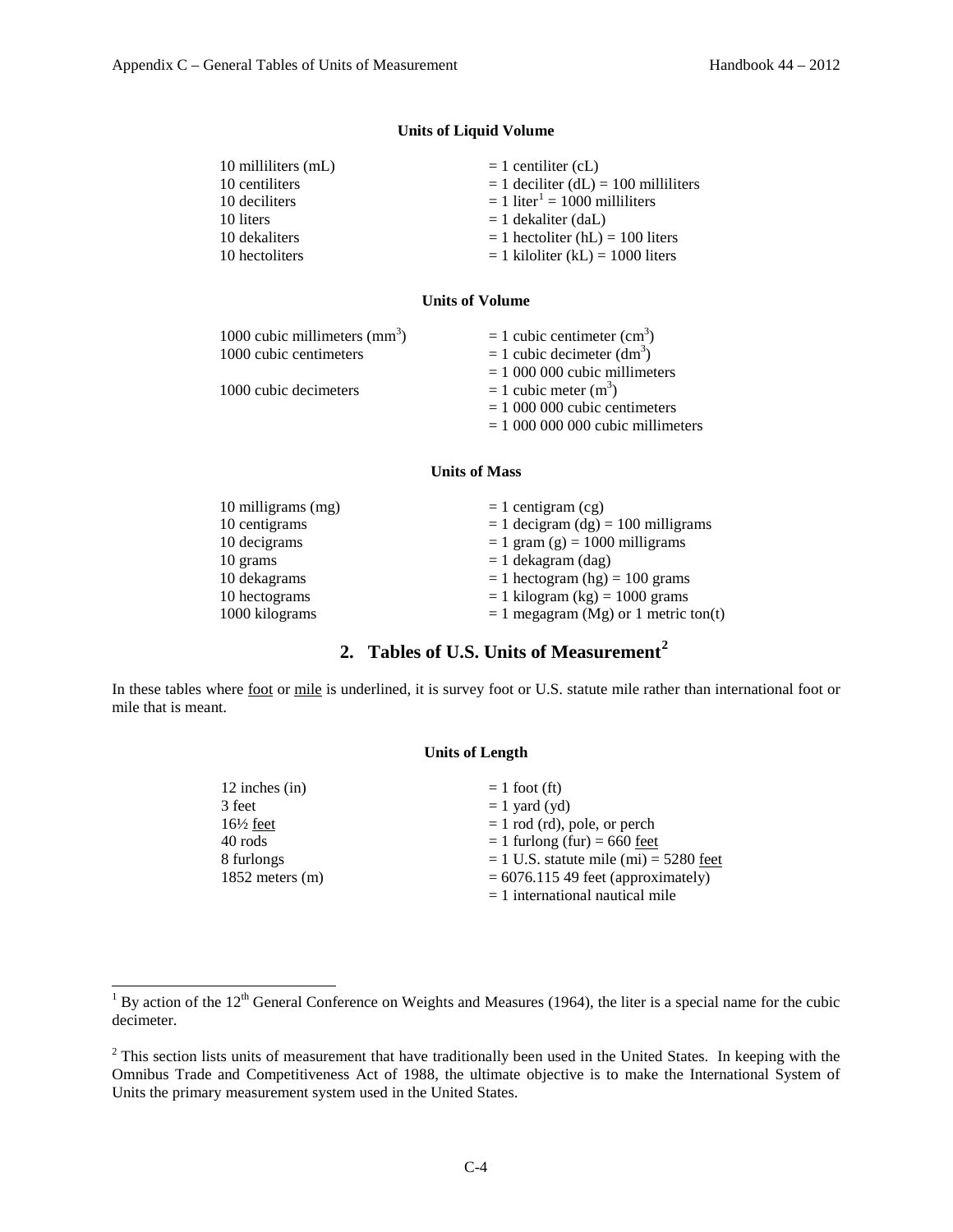#### <span id="page-3-0"></span>**Units of Liquid Volume**

| 10 milliliters (mL) | $= 1$ centiliter (cL)                       |
|---------------------|---------------------------------------------|
| 10 centiliters      | $= 1$ deciliter (dL) = 100 milliliters      |
| 10 deciliters       | $= 1$ liter <sup>1</sup> = 1000 milliliters |
| 10 liters           | $= 1$ dekaliter (daL)                       |
| 10 dekaliters       | $= 1$ hectoliter (hL) $= 100$ liters        |
| 10 hectoliters      | $= 1$ kiloliter (kL) = 1000 liters          |
|                     |                                             |

#### **Units of Volume**

<span id="page-3-1"></span>

| 1000 cubic millimeters $\text{(mm}^3)$ | $= 1$ cubic centimeter (cm <sup>3</sup> ) |
|----------------------------------------|-------------------------------------------|
| 1000 cubic centimeters                 | $= 1$ cubic decimeter $(dm3)$             |
|                                        | $= 1000000$ cubic millimeters             |
| 1000 cubic decimeters                  | $= 1$ cubic meter (m <sup>3</sup> )       |
|                                        | $= 1000000$ cubic centimeters             |
|                                        | $= 1000000000$ cubic millimeters          |

#### **Units of Mass**

<span id="page-3-2"></span>

| 10 milligrams (mg) | $= 1$ centigram (cg)                   |
|--------------------|----------------------------------------|
| 10 centigrams      | $= 1$ decigram (dg) = 100 milligrams   |
| 10 decigrams       | $= 1$ gram (g) $= 1000$ milligrams     |
| 10 grams           | $= 1$ dekagram (dag)                   |
| 10 dekagrams       | $= 1$ hectogram (hg) $= 100$ grams     |
| 10 hectograms      | $= 1$ kilogram (kg) = 1000 grams       |
| 1000 kilograms     | $= 1$ megagram (Mg) or 1 metric ton(t) |
|                    |                                        |

# **2. Tables of U.S. Units of Measurement[2](#page-3-5)**

<span id="page-3-3"></span>In these tables where foot or mile is underlined, it is survey foot or U.S. statute mile rather than international foot or mile that is meant.

#### **Units of Length**

<span id="page-3-4"></span>

| 12 inches $(in)$     | $= 1$ foot (ft)                          |
|----------------------|------------------------------------------|
| 3 feet               | $= 1$ yard (yd)                          |
| $16\frac{1}{2}$ feet | $= 1$ rod (rd), pole, or perch           |
| 40 rods              | $= 1$ furlong (fur) = 660 feet           |
| 8 furlongs           | $= 1$ U.S. statute mile (mi) = 5280 feet |
| 1852 meters $(m)$    | $= 6076.11549$ feet (approximately)      |
|                      | $= 1$ international nautical mile        |

<span id="page-3-6"></span><sup>&</sup>lt;sup>1</sup> By action of the 12<sup>th</sup> General Conference on Weights and Measures (1964), the liter is a special name for the cubic decimeter.

<span id="page-3-5"></span><sup>&</sup>lt;sup>2</sup> This section lists units of measurement that have traditionally been used in the United States. In keeping with the Omnibus Trade and Competitiveness Act of 1988, the ultimate objective is to make the International System of Units the primary measurement system used in the United States.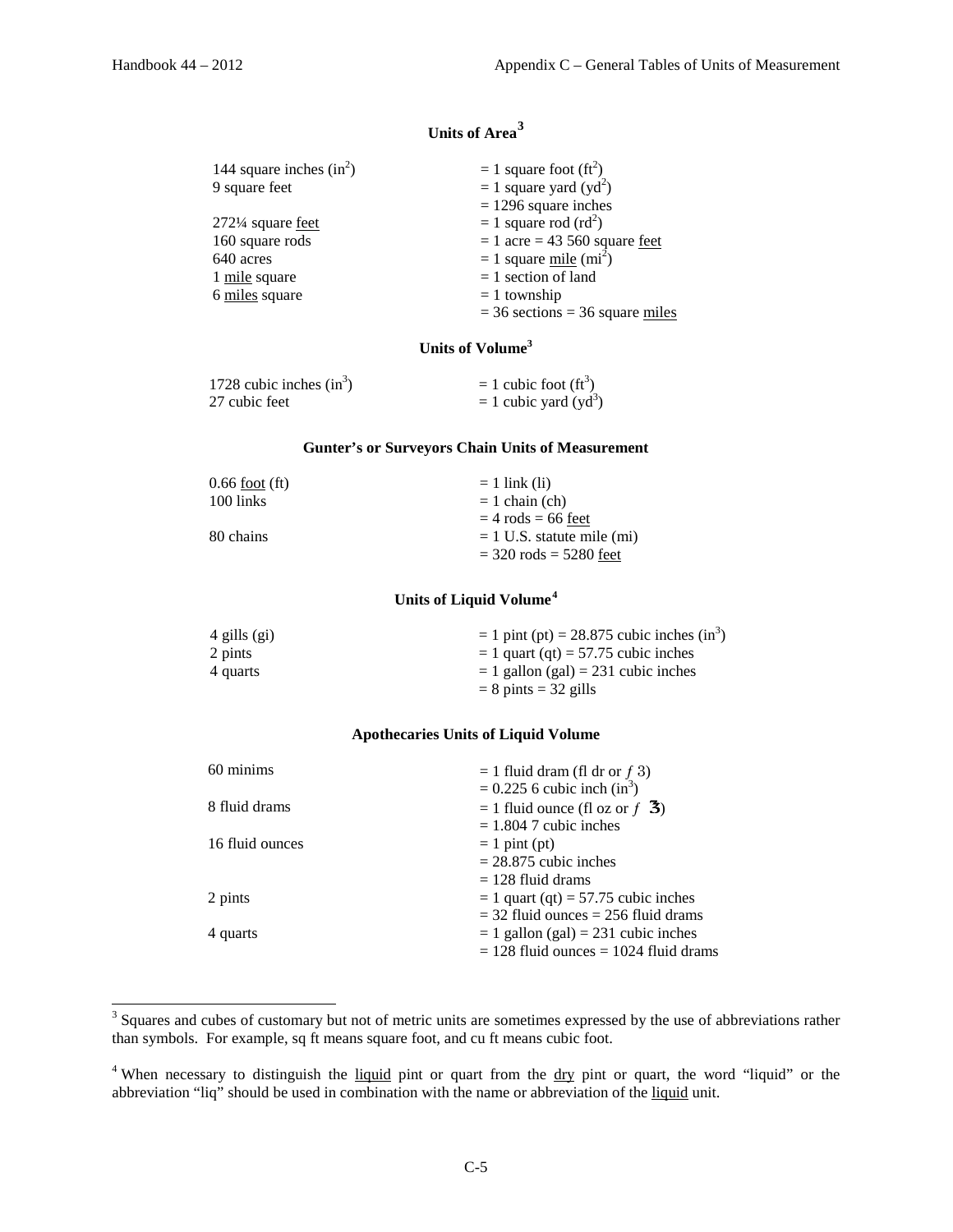# **Units of Area[3](#page-3-6)**

<span id="page-4-0"></span>

| 144 square inches $(in^2)$   | $= 1$ square foot (ft <sup>2</sup> )        |
|------------------------------|---------------------------------------------|
| 9 square feet                | $= 1$ square yard (yd <sup>2</sup> )        |
|                              | $= 1296$ square inches                      |
| $272\frac{1}{4}$ square feet | $= 1$ square rod (rd <sup>2</sup> )         |
| 160 square rods              | $= 1$ acre $= 43$ 560 square <u>feet</u>    |
| 640 acres                    | $= 1$ square <u>mile</u> (mi <sup>2</sup> ) |
| 1 mile square                | $= 1$ section of land                       |
| 6 miles square               | $= 1$ township                              |
|                              | $=$ 36 sections = 36 square miles           |

### **Units of Volume<sup>3</sup>**

<span id="page-4-1"></span>

| 1728 cubic inches $(in^3)$ | $= 1$ cubic foot (ft <sup>3</sup> ) |
|----------------------------|-------------------------------------|
| 27 cubic feet              | $= 1$ cubic yard (yd <sup>3</sup> ) |

#### **Gunter's or Surveyors Chain Units of Measurement**

<span id="page-4-2"></span>

| $0.66$ foot $(ft)$ | $= 1$ link (li)              |
|--------------------|------------------------------|
| 100 links          | $= 1$ chain (ch)             |
|                    | $= 4$ rods = 66 feet         |
| 80 chains          | $= 1$ U.S. statute mile (mi) |
|                    | $=$ 320 rods = 5280 feet     |

### **Units of Liquid Volume[4](#page-4-5)**

<span id="page-4-3"></span>

| $4$ gills $(gi)$ | $= 1$ pint (pt) = 28.875 cubic inches (in <sup>3</sup> ) |
|------------------|----------------------------------------------------------|
| 2 pints          | $= 1$ quart (qt) = 57.75 cubic inches                    |
| 4 quarts         | $= 1$ gallon (gal) $= 231$ cubic inches                  |
|                  | $= 8$ pints $= 32$ gills                                 |

#### **Apothecaries Units of Liquid Volume**

<span id="page-4-4"></span>

| 60 minims       | $= 1$ fluid dram (fl dr or f 3)               |
|-----------------|-----------------------------------------------|
|                 | $= 0.225$ 6 cubic inch (in <sup>3</sup> )     |
| 8 fluid drams   | $= 1$ fluid ounce (fl oz or $f(\overline{3})$ |
|                 | $= 1.804$ 7 cubic inches                      |
| 16 fluid ounces | $= 1$ pint (pt)                               |
|                 | $= 28.875$ cubic inches                       |
|                 | $= 128$ fluid drams                           |
| 2 pints         | $= 1$ quart (qt) = 57.75 cubic inches         |
|                 | $=$ 32 fluid ounces $=$ 256 fluid drams       |
| 4 quarts        | $= 1$ gallon (gal) = 231 cubic inches         |
|                 | $= 128$ fluid ounces $= 1024$ fluid drams     |

<span id="page-4-6"></span><sup>&</sup>lt;sup>3</sup> Squares and cubes of customary but not of metric units are sometimes expressed by the use of abbreviations rather than symbols. For example, sq ft means square foot, and cu ft means cubic foot.

<span id="page-4-5"></span><sup>&</sup>lt;sup>4</sup> When necessary to distinguish the liquid pint or quart from the dry pint or quart, the word "liquid" or the abbreviation "liq" should be used in combination with the name or abbreviation of the <u>liquid</u> unit.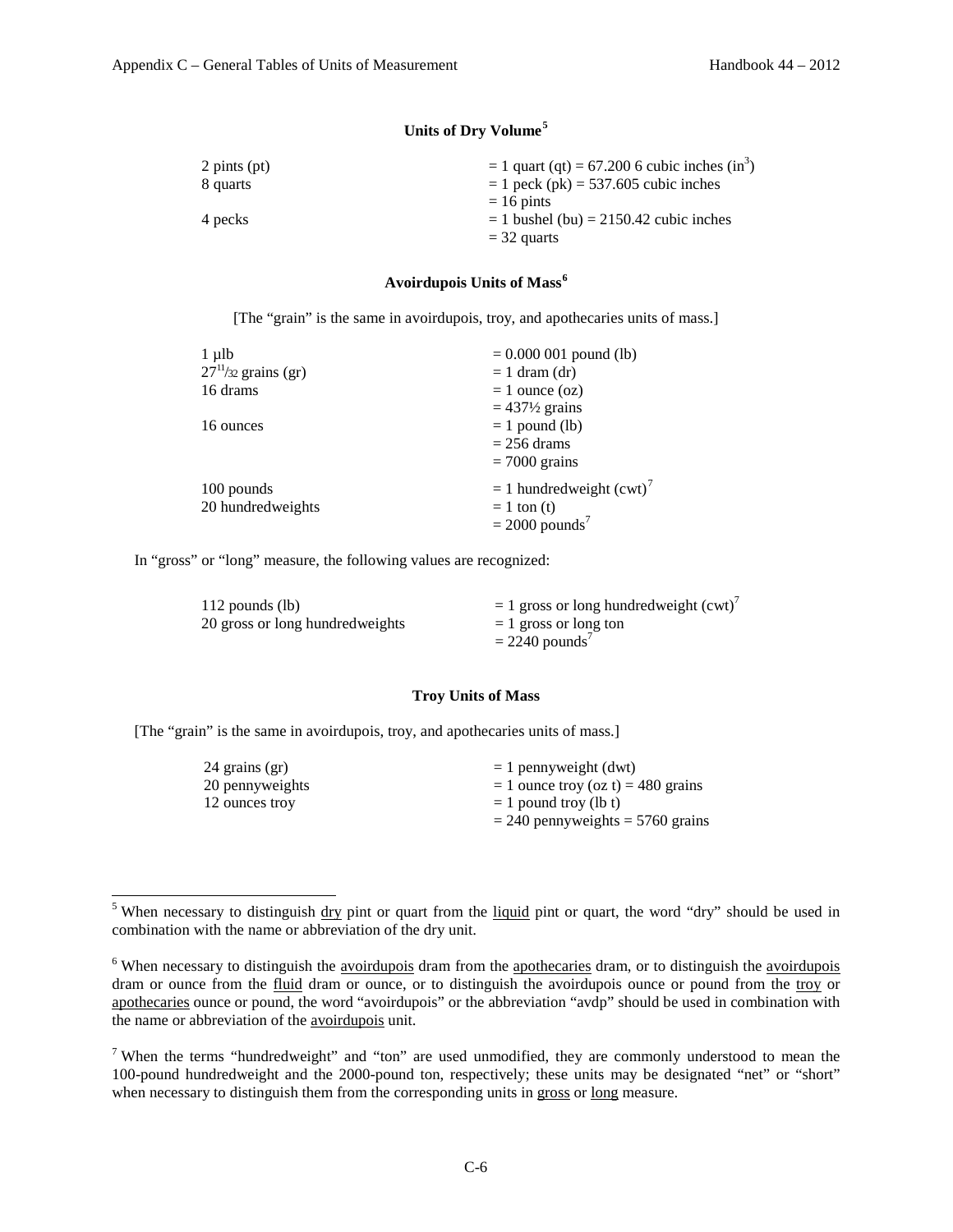#### <span id="page-5-0"></span>**Units of Dry Volume[5](#page-4-6)**

| $2 \text{ pints}$ (pt) | $= 1$ quart (qt) = 67.200 6 cubic inches (in <sup>3</sup> ) |
|------------------------|-------------------------------------------------------------|
| 8 quarts               | $= 1$ peck (pk) = 537.605 cubic inches                      |
|                        | $= 16 \text{ pints}$                                        |
| 4 pecks                | $= 1$ bushel (bu) $= 2150.42$ cubic inches                  |
|                        | $=$ 32 quarts                                               |

### **Avoirdupois Units of Mass[6](#page-5-3)**

[The "grain" is the same in avoirdupois, troy, and apothecaries units of mass.]

<span id="page-5-1"></span>

| $1 \mu$ lb               | $= 0.000 001$ pound (lb)               |
|--------------------------|----------------------------------------|
| $27^{11}/32$ grains (gr) | $= 1$ dram (dr)                        |
| 16 drams                 | $= 1$ ounce (oz)                       |
|                          | $= 437\frac{1}{2}$ grains              |
| 16 ounces                | $= 1$ pound (lb)                       |
|                          | $= 256$ drams                          |
|                          | $= 7000$ grains                        |
| 100 pounds               | $= 1$ hundredweight (cwt) <sup>7</sup> |
| 20 hundredweights        | $= 1$ ton (t)                          |
|                          | $= 2000$ pounds <sup>7</sup>           |

In "gross" or "long" measure, the following values are recognized:

| $112$ pounds $(lb)$             | $= 1$ gross or long hundredweight (cwt) <sup><math>\prime</math></sup> |
|---------------------------------|------------------------------------------------------------------------|
| 20 gross or long hundredweights | $= 1$ gross or long ton                                                |
|                                 | $= 2240$ pounds <sup>7</sup>                                           |

#### **Troy Units of Mass**

<span id="page-5-2"></span>[The "grain" is the same in avoirdupois, troy, and apothecaries units of mass.]

| 24 grains (gr)  | $= 1$ pennyweight (dwt)              |
|-----------------|--------------------------------------|
| 20 pennyweights | $= 1$ ounce troy (oz t) = 480 grains |
| 12 ounces troy  | $= 1$ pound troy (lb t)              |
|                 | $= 240$ pennyweights $= 5760$ grains |

<sup>&</sup>lt;sup>5</sup> When necessary to distinguish dry pint or quart from the liquid pint or quart, the word "dry" should be used in combination with the name or abbreviation of the dry unit.

<span id="page-5-3"></span><sup>&</sup>lt;sup>6</sup> When necessary to distinguish the avoirdupois dram from the apothecaries dram, or to distinguish the avoirdupois dram or ounce from the fluid dram or ounce, or to distinguish the avoirdupois ounce or pound from the troy or apothecaries ounce or pound, the word "avoirdupois" or the abbreviation "avdp" should be used in combination with the name or abbreviation of the avoirdupois unit.

<span id="page-5-5"></span><span id="page-5-4"></span><sup>&</sup>lt;sup>7</sup> When the terms "hundredweight" and "ton" are used unmodified, they are commonly understood to mean the 100-pound hundredweight and the 2000-pound ton, respectively; these units may be designated "net" or "short" when necessary to distinguish them from the corresponding units in gross or long measure.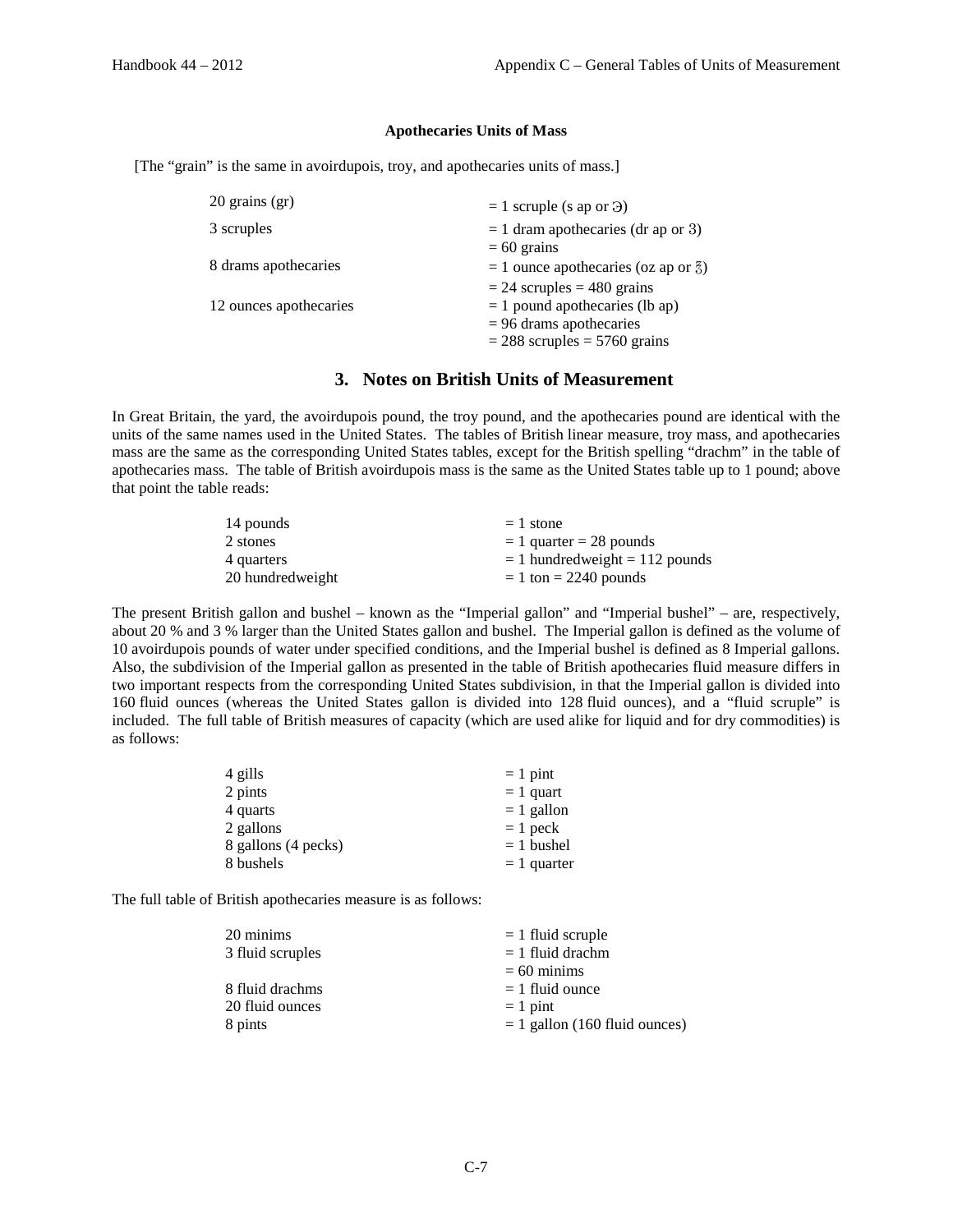#### **Apothecaries Units of Mass**

<span id="page-6-0"></span>[The "grain" is the same in avoirdupois, troy, and apothecaries units of mass.]

| $20$ grains $(gr)$     | $= 1$ scruple (s ap or $\Theta$ )                                                                                                   |
|------------------------|-------------------------------------------------------------------------------------------------------------------------------------|
| 3 scruples             | $= 1$ dram apothecaries (dr ap or 3)<br>$= 60$ grains                                                                               |
| 8 drams apothecaries   | $= 1$ ounce apothecaries (oz ap or $\frac{2}{3}$ )                                                                                  |
| 12 ounces apothecaries | $= 24$ scruples $= 480$ grains<br>$= 1$ pound apothecaries (lb ap)<br>$= 96$ drams apothecaries<br>$= 288$ scruples $= 5760$ grains |

### **3. Notes on British Units of Measurement**

<span id="page-6-1"></span>In Great Britain, the yard, the avoirdupois pound, the troy pound, and the apothecaries pound are identical with the units of the same names used in the United States. The tables of British linear measure, troy mass, and apothecaries mass are the same as the corresponding United States tables, except for the British spelling "drachm" in the table of apothecaries mass. The table of British avoirdupois mass is the same as the United States table up to 1 pound; above that point the table reads:

| 14 pounds        | $= 1$ stone                        |
|------------------|------------------------------------|
| 2 stones         | $= 1$ quarter $= 28$ pounds        |
| 4 quarters       | $= 1$ hundredweight $= 112$ pounds |
| 20 hundredweight | $= 1$ ton $= 2240$ pounds          |

The present British gallon and bushel – known as the "Imperial gallon" and "Imperial bushel" – are, respectively, about 20 % and 3 % larger than the United States gallon and bushel. The Imperial gallon is defined as the volume of 10 avoirdupois pounds of water under specified conditions, and the Imperial bushel is defined as 8 Imperial gallons. Also, the subdivision of the Imperial gallon as presented in the table of British apothecaries fluid measure differs in two important respects from the corresponding United States subdivision, in that the Imperial gallon is divided into 160 fluid ounces (whereas the United States gallon is divided into 128 fluid ounces), and a "fluid scruple" is included. The full table of British measures of capacity (which are used alike for liquid and for dry commodities) is as follows:

| 4 gills             | $= 1$ pint    |
|---------------------|---------------|
| 2 pints             | $= 1$ quart   |
| 4 quarts            | $= 1$ gallon  |
| 2 gallons           | $= 1$ peck    |
| 8 gallons (4 pecks) | $= 1$ bushel  |
| 8 bushels           | $= 1$ quarter |

The full table of British apothecaries measure is as follows:

| 20 minims        | $= 1$ fluid scruple             |
|------------------|---------------------------------|
| 3 fluid scruples | $= 1$ fluid drachm              |
|                  | $= 60$ minims                   |
| 8 fluid drachms  | $= 1$ fluid ounce               |
| 20 fluid ounces  | $= 1$ pint                      |
| 8 pints          | $= 1$ gallon (160 fluid ounces) |
|                  |                                 |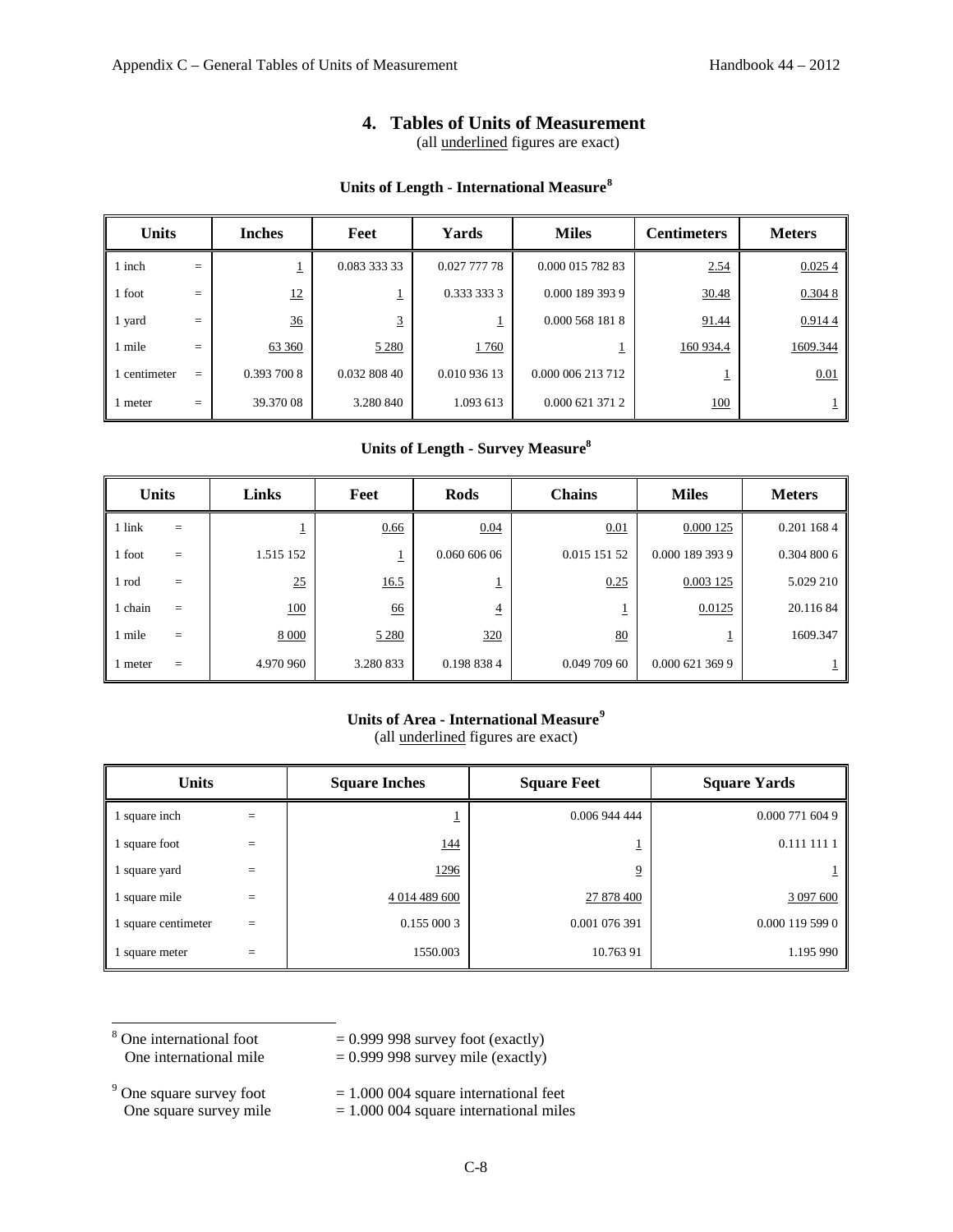# **4. Tables of Units of Measurement**

(all underlined figures are exact)

### **Units of Length - International Measure[8](#page-5-5)**

<span id="page-7-1"></span><span id="page-7-0"></span>

| <b>Units</b> |     | <b>Inches</b> | Feet         | Yards        | <b>Miles</b>      | <b>Centimeters</b> | <b>Meters</b> |
|--------------|-----|---------------|--------------|--------------|-------------------|--------------------|---------------|
| 1 inch       | $=$ |               | 0.083 333 33 | 0.027 777 78 | 0.000 015 782 83  | 2.54               | 0.0254        |
| 1 foot       | $=$ | 12            |              | 0.333 333 3  | 0.000 189 393 9   | 30.48              | 0.3048        |
| 1 yard       | $=$ | 36            | 3            |              | 0.000 568 181 8   | 91.44              | 0.9144        |
| 1 mile       | $=$ | 63 360        | 5 2 8 0      | 1760         |                   | 160 934.4          | 1609.344      |
| centimeter   | $=$ | 0.393 700 8   | 0.032 808 40 | 0.010 936 13 | 0.000 006 213 712 | ∸                  | 0.01          |
| 1 meter      | $=$ | 39.370 08     | 3.280 840    | 1.093 613    | 0.000 621 371 2   | <b>100</b>         |               |

# **Units of Length - Survey Measure<sup>8</sup>**

<span id="page-7-2"></span>

| <b>Units</b> |     | Links     | Feet      | Rods         | <b>Chains</b> | <b>Miles</b>    | <b>Meters</b> |
|--------------|-----|-----------|-----------|--------------|---------------|-----------------|---------------|
| 1 link       | $=$ | ÷.        | 0.66      | 0.04         | 0.01          | 0.000 125       | 0.201 168 4   |
| 1 foot       | $=$ | 1.515 152 |           | 0.060 606 06 | 0.015 151 52  | 0.000 189 393 9 | 0.304 800 6   |
| 1 rod        | $=$ | 25        | 16.5      |              | 0.25          | 0.003 125       | 5.029 210     |
| 1 chain      | $=$ | 100       | <u>66</u> | 4            | ┻             | 0.0125          | 20.11684      |
| 1 mile       | $=$ | 8 0 0 0   | 5 2 8 0   | 320          | 80            |                 | 1609.347      |
| 1 meter      | $=$ | 4.970 960 | 3.280 833 | 0.198 838 4  | 0.049 709 60  | 0.000 621 369 9 |               |

# **Units of Area - International Measure[9](#page-7-4)**

(all underlined figures are exact)

<span id="page-7-3"></span>

| <b>Units</b><br><b>Square Inches</b> |     | <b>Square Feet</b> | <b>Square Yards</b> |                 |
|--------------------------------------|-----|--------------------|---------------------|-----------------|
| 1 square inch                        | $=$ | ±                  | 0.006 944 444       | 0.000 771 604 9 |
| 1 square foot                        | $=$ | 144                | $\overline{1}$      | 0.111 111 1     |
| 1 square yard                        | $=$ | 1296               | 9                   |                 |
| 1 square mile                        | $=$ | 4 014 489 600      | 27 878 400          | 3 097 600       |
| 1 square centimeter                  | $=$ | 0.155 000 3        | 0.001 076 391       | 0.000 119 599 0 |
| 1 square meter                       | $=$ | 1550.003           | 10.763 91           | 1.195 990       |

<sup>8</sup> One international foot  $= 0.999 998$  survey foot (exactly)<br>One international mile  $= 0.999 998$  survey mile (exactly)

 $= 0.999$  998 survey mile (exactly)

<span id="page-7-4"></span><sup>9</sup> One square survey foot =  $1.000\,004$  square international feet<br>One square survey mile =  $1.000\,004$  square international mile

 $= 1.000 004$  square international miles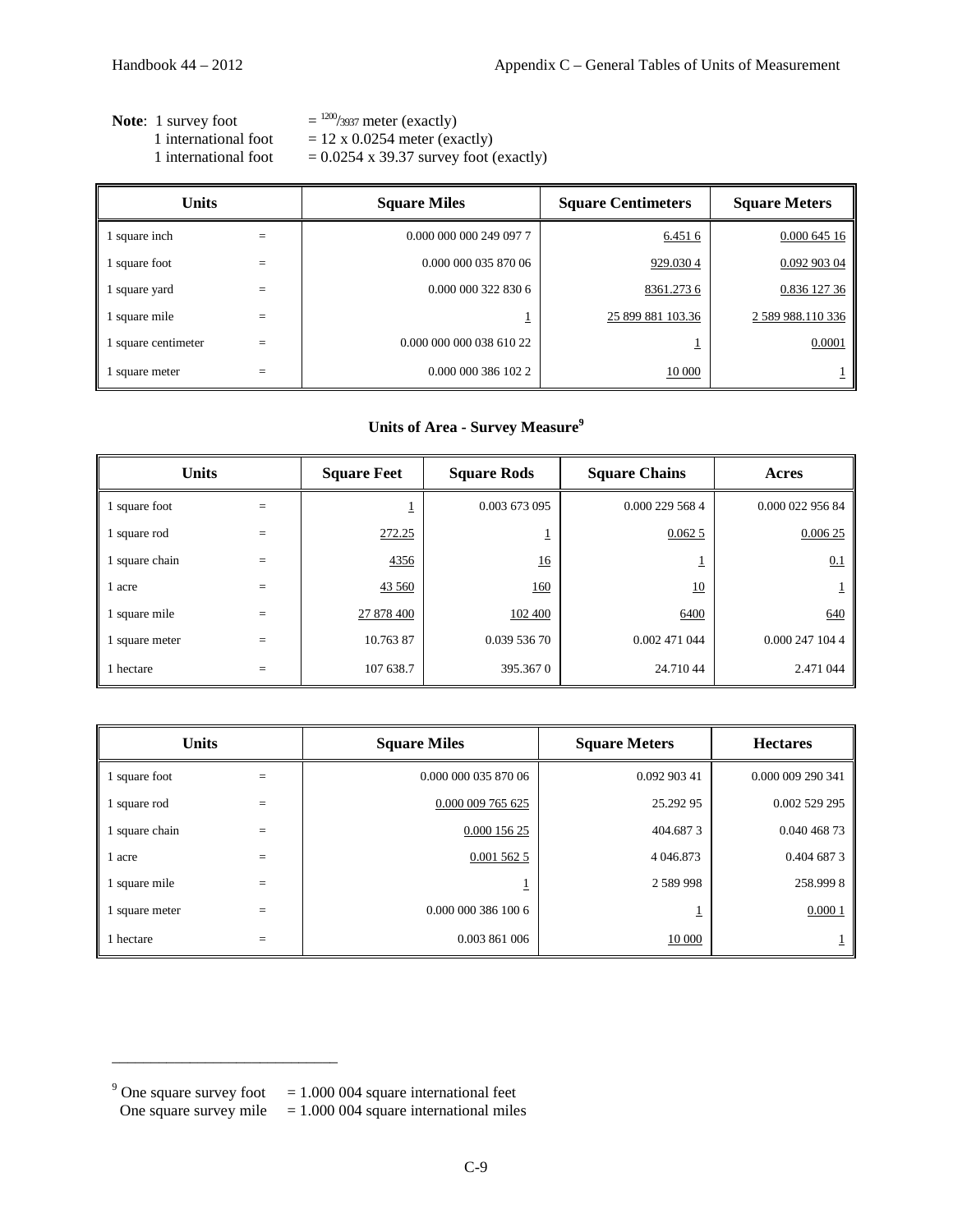**Note**: 1 survey foot  $=$   $\frac{1200}{3937}$  meter (exactly)<br>1 international foot  $= 12 \times 0.0254$  meter (exactly)

1 international foot =  $12 \times 0.0254$  meter (exactly)<br>1 international foot =  $0.0254 \times 39.37$  survey foot (  $= 0.0254$  x 39.37 survey foot (exactly)

| <b>Units</b>      |     | <b>Square Miles</b>      | <b>Square Centimeters</b> | <b>Square Meters</b> |
|-------------------|-----|--------------------------|---------------------------|----------------------|
| 1 square inch     | $=$ | 0.000 000 000 249 097 7  | 6.4516                    | 0.000 645 16         |
| 1 square foot     | $=$ | 0.000 000 035 870 06     | 929.0304                  | 0.092 903 04         |
| square yard       | $=$ | 0.000 000 322 830 6      | 8361.2736                 | 0.836 127 36         |
| square mile       | $=$ | ≛                        | 25 899 881 103.36         | 2 589 988.110 336    |
| square centimeter | $=$ | 0.000 000 000 038 610 22 |                           | 0.0001               |
| square meter      | $=$ | 0.000 000 386 102 2      | 10 000                    |                      |

# **Units of Area - Survey Measure<sup>9</sup>**

<span id="page-8-0"></span>

| <b>Units</b>   |     | <b>Square Feet</b> | <b>Square Rods</b> | <b>Square Chains</b> | Acres            |
|----------------|-----|--------------------|--------------------|----------------------|------------------|
| 1 square foot  | $=$ |                    | 0.003 673 095      | 0.000 229 568 4      | 0.000 022 956 84 |
| 1 square rod   | $=$ | 272.25             | Ŧ                  | 0.0625               | 0.006 25         |
| 1 square chain | $=$ | 4356               | 16                 |                      | 0.1              |
| acre           | $=$ | 43 560             | 160                | 10                   |                  |
| 1 square mile  | $=$ | 27 878 400         | 102 400            | 6400                 | 640              |
| 1 square meter | $=$ | 10.76387           | 0.039 536 70       | 0.002 471 044        | 0.000 247 104 4  |
| 1 hectare      | $=$ | 107 638.7          | 395.3670           | 24.71044             | 2.471 044        |

| <b>Units</b>   |     | <b>Square Miles</b>  | <b>Square Meters</b> | <b>Hectares</b>   |
|----------------|-----|----------------------|----------------------|-------------------|
| 1 square foot  | $=$ | 0.000 000 035 870 06 | 0.092 903 41         | 0.000 009 290 341 |
| 1 square rod   | $=$ | 0.000 009 765 625    | 25.292 95            | 0.002 529 295     |
| 1 square chain | $=$ | 0.000 156 25         | 404.6873             | 0.040 468 73      |
| acre           | $=$ | 0.001 562 5          | 4 046.873            | 0.404 687 3       |
| 1 square mile  | $=$ | ┻                    | 2 5 8 9 9 9 9 8      | 258.9998          |
| 1 square meter | $=$ | 0.000 000 386 100 6  |                      | 0.0001            |
| 1 hectare      | $=$ | 0.003 861 006        | 10 000               |                   |

 $9^9$  One square survey foot  $= 1.000 004$  square international feet

\_\_\_\_\_\_\_\_\_\_\_\_\_\_\_\_\_\_\_\_\_\_\_\_\_\_\_\_\_

One square survey mile  $= 1.000 004$  square international miles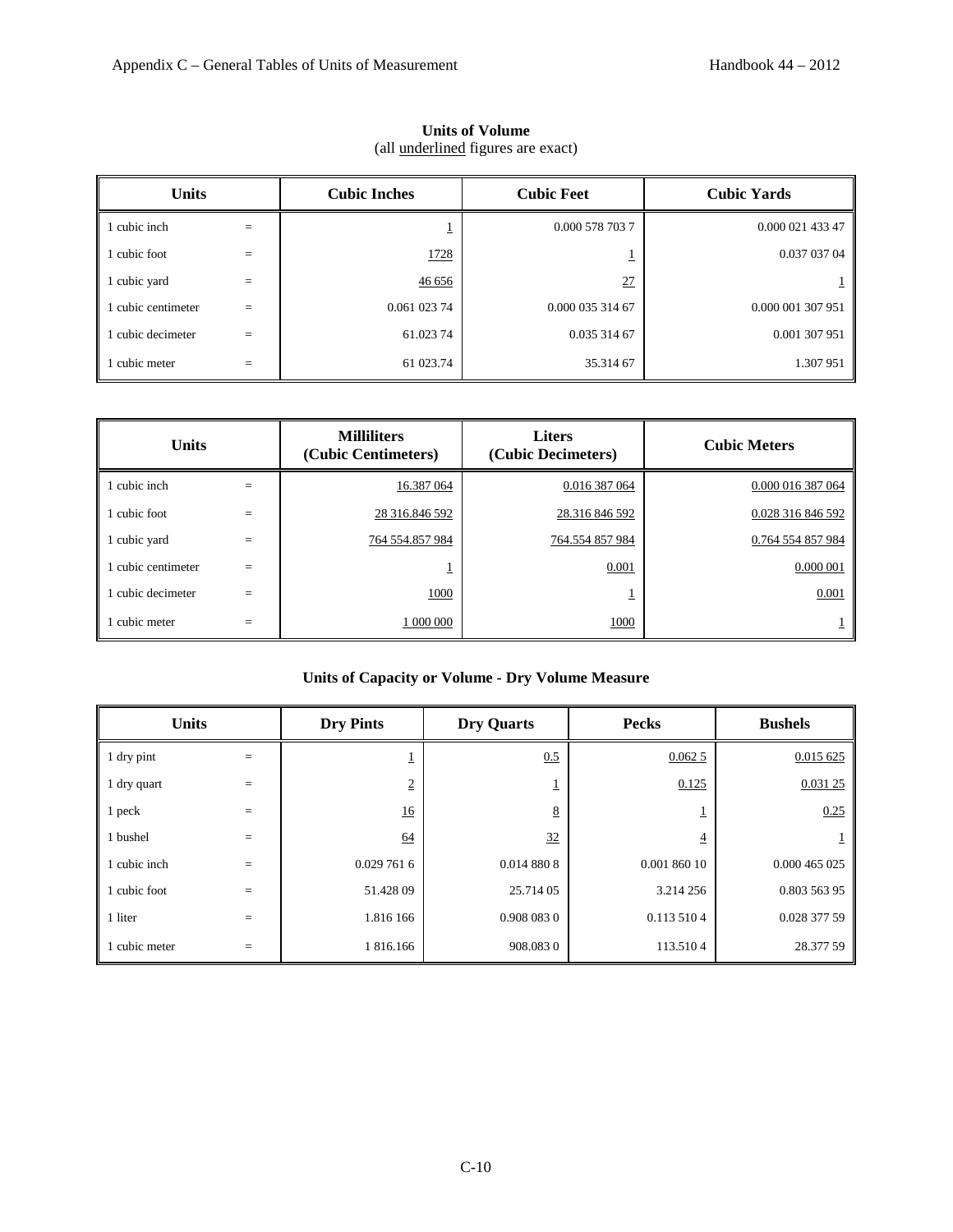<span id="page-9-0"></span>

| <b>Units</b>     |     | <b>Cubic Inches</b> | <b>Cubic Feet</b> | <b>Cubic Yards</b> |
|------------------|-----|---------------------|-------------------|--------------------|
| cubic inch       | $=$ |                     | 0.000 578 703 7   | 0.000 021 433 47   |
| cubic foot       | $=$ | 1728                |                   | 0.037 037 04       |
| l cubic yard     | $=$ | 46 656              | 27                |                    |
| cubic centimeter | $=$ | 0.061 023 74        | 0.000 035 314 67  | 0.000 001 307 951  |
| cubic decimeter  | $=$ | 61.023 74           | 0.035 314 67      | 0.001 307 951      |
| cubic meter      | $=$ | 61 023.74           | 35.314 67         | 1.307 951          |

### **Units of Volume** (all underlined figures are exact)

| <b>Units</b>     |     | <b>Milliliters</b><br>(Cubic Centimeters) | <b>Liters</b><br>(Cubic Decimeters) | <b>Cubic Meters</b> |
|------------------|-----|-------------------------------------------|-------------------------------------|---------------------|
| cubic inch       | $=$ | 16.387 064                                | 0.016 387 064                       | 0.000 016 387 064   |
| 1 cubic foot     | $=$ | 28 316.846 592                            | 28.316 846 592                      | 0.028 316 846 592   |
| 1 cubic yard     | $=$ | 764 554 857 984                           | 764.554 857 984                     | 0.764 554 857 984   |
| cubic centimeter | $=$ | ∸                                         | 0.001                               | 0.000 001           |
| cubic decimeter  | $=$ | 1000                                      | ᆂ                                   | 0.001               |
| cubic meter      | $=$ | 000 000                                   | 1000                                |                     |

# **Units of Capacity or Volume - Dry Volume Measure**

<span id="page-9-1"></span>

|               | <b>Units</b> | <b>Dry Pints</b> | Dry Quarts  | <b>Pecks</b>   | <b>Bushels</b> |
|---------------|--------------|------------------|-------------|----------------|----------------|
| 1 dry pint    | $=$          |                  | 0.5         | 0.0625         | 0.015 625      |
| 1 dry quart   | $=$          | $\overline{2}$   |             | 0.125          | 0.03125        |
| 1 peck        | $=$          | 16               | 8           |                | 0.25           |
| 1 bushel      | $=$          | 64               | 32          | $\overline{4}$ |                |
| 1 cubic inch  | $=$          | 0.029 761 6      | 0.014 880 8 | 0.001 860 10   | 0.000 465 025  |
| 1 cubic foot  | $=$          | 51.428 09        | 25.714 05   | 3.214 256      | 0.803 563 95   |
| 1 liter       | $=$          | 1.816 166        | 0.908 083 0 | 0.113 510 4    | 0.028 377 59   |
| l cubic meter | $=$          | 1 816.166        | 908.0830    | 113.5104       | 28.377 59      |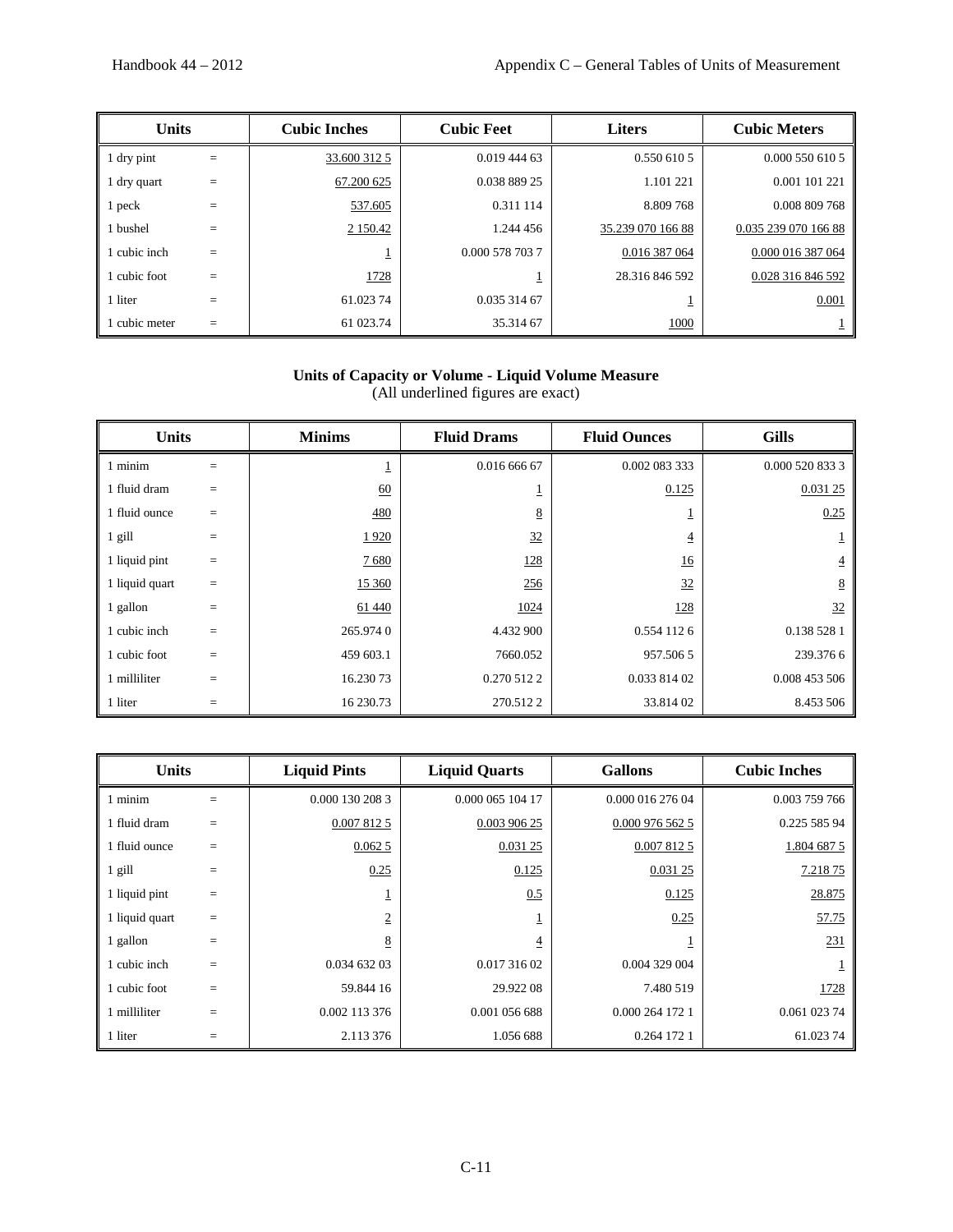| <b>Units</b> |     | <b>Cubic Inches</b> | <b>Cubic Feet</b> | <b>Liters</b>     | <b>Cubic Meters</b>  |
|--------------|-----|---------------------|-------------------|-------------------|----------------------|
| 1 dry pint   | $=$ | 33.600 312 5        | 0.019 444 63      | 0.550 610 5       | 0.000 550 610 5      |
| 1 dry quart  | $=$ | 67.200 625          | 0.038 889 25      | 1.101 221         | 0.001 101 221        |
| 1 peck       | $=$ | 537.605             | 0.311 114         | 8.809768          | 0.008 809 768        |
| 1 bushel     | $=$ | 2 150.42            | 1.244 456         | 35.239 070 166 88 | 0.035 239 070 166 88 |
| cubic inch   | $=$ |                     | 0.000 578 703 7   | 0.016 387 064     | 0.000 016 387 064    |
| cubic foot   | $=$ | 1728                |                   | 28.316 846 592    | 0.028 316 846 592    |
| 1 liter      | $=$ | 61.023 74           | 0.035 314 67      | Ŧ                 | 0.001                |
| cubic meter  | $=$ | 61 023.74           | 35.314 67         | 1000              |                      |

# **Units of Capacity or Volume - Liquid Volume Measure**

<span id="page-10-0"></span>

| <b>Units</b>   |     | <b>Minims</b> | <b>Fluid Drams</b> | <b>Fluid Ounces</b> | <b>Gills</b>    |
|----------------|-----|---------------|--------------------|---------------------|-----------------|
| 1 minim        | $=$ | ±             | 0.016 666 67       | 0.002 083 333       | 0.000 520 833 3 |
| 1 fluid dram   | $=$ | 60            |                    | 0.125               | 0.031 25        |
| 1 fluid ounce  | $=$ | 480           | $\underline{8}$    | ±                   | 0.25            |
| 1 gill         | $=$ | 1920          | 32                 | $\overline{4}$      |                 |
| 1 liquid pint  | $=$ | 7680          | 128                | 16                  | $\overline{4}$  |
| 1 liquid quart | $=$ | 15 360        | 256                | 32                  | 8               |
| 1 gallon       | $=$ | 61 440        | 1024               | <u>128</u>          | 32              |
| 1 cubic inch   | $=$ | 265.9740      | 4.432 900          | 0.554 112 6         | 0.138 528 1     |
| 1 cubic foot   | $=$ | 459 603.1     | 7660.052           | 957.5065            | 239.3766        |
| 1 milliliter   | $=$ | 16.23073      | 0.270 512 2        | 0.033 814 02        | 0.008 453 506   |
| 1 liter        | $=$ | 16 230.73     | 270.5122           | 33.814 02           | 8.453 506       |

(All underlined figures are exact)

| <b>Units</b>   |     | <b>Liquid Pints</b> | <b>Liquid Quarts</b> | <b>Gallons</b>   | <b>Cubic Inches</b> |
|----------------|-----|---------------------|----------------------|------------------|---------------------|
| 1 minim        | $=$ | 0.000 130 208 3     | 0.000 065 104 17     | 0.000 016 276 04 | 0.003 759 766       |
| 1 fluid dram   | $=$ | 0.007 812 5         | 0.003 906 25         | 0.000 976 562 5  | 0.225 585 94        |
| 1 fluid ounce  | $=$ | 0.0625              | 0.031 25             | 0.007 812 5      | 1.804 687 5         |
| 1 gill         | $=$ | 0.25                | 0.125                | 0.031 25         | 7.218 75            |
| 1 liquid pint  | $=$ | ᆂ                   | 0.5                  | 0.125            | 28.875              |
| 1 liquid quart | $=$ | $\overline{2}$      | $\overline{1}$       | 0.25             | 57.75               |
| 1 gallon       | $=$ | 8                   | $\overline{4}$       |                  | 231                 |
| 1 cubic inch   | $=$ | 0.034 632 03        | 0.017 316 02         | 0.004 329 004    |                     |
| 1 cubic foot   | $=$ | 59.844 16           | 29.922 08            | 7.480 519        | 1728                |
| 1 milliliter   | $=$ | 0.002 113 376       | 0.001 056 688        | 0.000 264 172 1  | 0.061 023 74        |
| 1 liter        | $=$ | 2.113 376           | 1.056 688            | 0.264 172 1      | 61.02374            |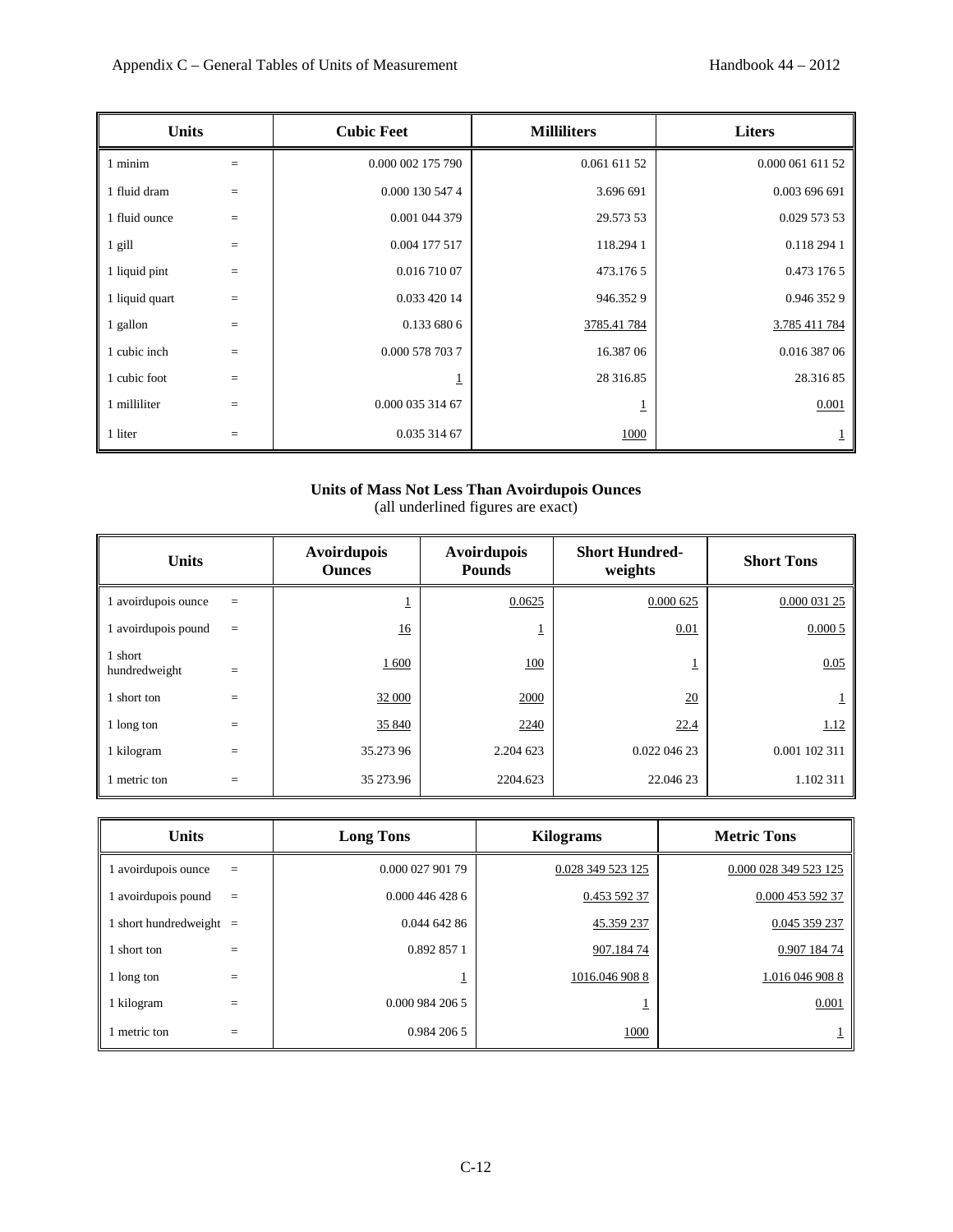| <b>Units</b>   |                 | <b>Cubic Feet</b> | <b>Milliliters</b> | <b>Liters</b>    |
|----------------|-----------------|-------------------|--------------------|------------------|
| 1 minim        | $=$             | 0.000 002 175 790 | 0.061 611 52       | 0.000 061 611 52 |
| 1 fluid dram   | $\quad \  \  =$ | 0.000 130 547 4   | 3.696 691          | 0.003 696 691    |
| 1 fluid ounce  | $=$             | 0.001 044 379     | 29.573 53          | 0.029 573 53     |
| $1$ gill       | $=$             | 0.004 177 517     | 118.2941           | 0.118 294 1      |
| 1 liquid pint  | $\quad \  \  =$ | 0.016 710 07      | 473.1765           | 0.473 176 5      |
| 1 liquid quart | $=$             | 0.033 420 14      | 946.3529           | 0.946 352 9      |
| 1 gallon       | $=$             | 0.133 680 6       | 3785.41784         | 3.785 411 784    |
| 1 cubic inch   | $=$             | 0.000 578 703 7   | 16.387 06          | 0.016 387 06     |
| 1 cubic foot   | $=$             | ⊥                 | 28 316.85          | 28.31685         |
| 1 milliliter   | $=$             | 0.000 035 314 67  | ⊥                  | 0.001            |
| 1 liter        | $=$             | 0.035 314 67      | 1000               | ⊥                |

#### **Units of Mass Not Less Than Avoirdupois Ounces** (all underlined figures are exact)

<span id="page-11-0"></span>

| <b>Units</b>             |     | <b>Avoirdupois</b><br><b>Ounces</b> | <b>Avoirdupois</b><br><b>Pounds</b> | <b>Short Hundred-</b><br>weights | <b>Short Tons</b> |
|--------------------------|-----|-------------------------------------|-------------------------------------|----------------------------------|-------------------|
| 1 avoirdupois ounce      | $=$ |                                     | 0.0625                              | 0.000 625                        | 0.000 031 25      |
| 1 avoirdupois pound      | $=$ | 16                                  |                                     | 0.01                             | 0.0005            |
| 1 short<br>hundredweight | $=$ | 1600                                | 100                                 | ⊥                                | 0.05              |
| 1 short ton              | $=$ | 32 000                              | 2000                                | 20                               |                   |
| 1 long ton               | $=$ | 35 840                              | 2240                                | 22.4                             | 1.12              |
| 1 kilogram               | $=$ | 35.273 96                           | 2.204 623                           | 0.022 046 23                     | 0.001 102 311     |
| 1 metric ton             | $=$ | 35 273.96                           | 2204.623                            | 22.046 23                        | 1.102 311         |

| <b>Units</b>              | <b>Long Tons</b> | <b>Kilograms</b>  | <b>Metric Tons</b>    |
|---------------------------|------------------|-------------------|-----------------------|
| avoirdupois ounce<br>$=$  | 0.000 027 901 79 | 0.028 349 523 125 | 0.000 028 349 523 125 |
| avoirdupois pound<br>$=$  | 0.000 446 428 6  | 0.453 592 37      | 0.000 453 592 37      |
| 1 short hundredweight $=$ | 0.044 642 86     | 45.359 237        | 0.045 359 237         |
| 1 short ton<br>$=$        | 0.892 857 1      | 907.18474         | 0.907 184 74          |
| 1 long ton<br>$=$         | ∸                | 1016.046 908 8    | 1.016 046 908 8       |
| 1 kilogram<br>$=$         | 0.000 984 206 5  | ∸                 | 0.001                 |
| 1 metric ton<br>$=$       | 0.984 206 5      | 1000              |                       |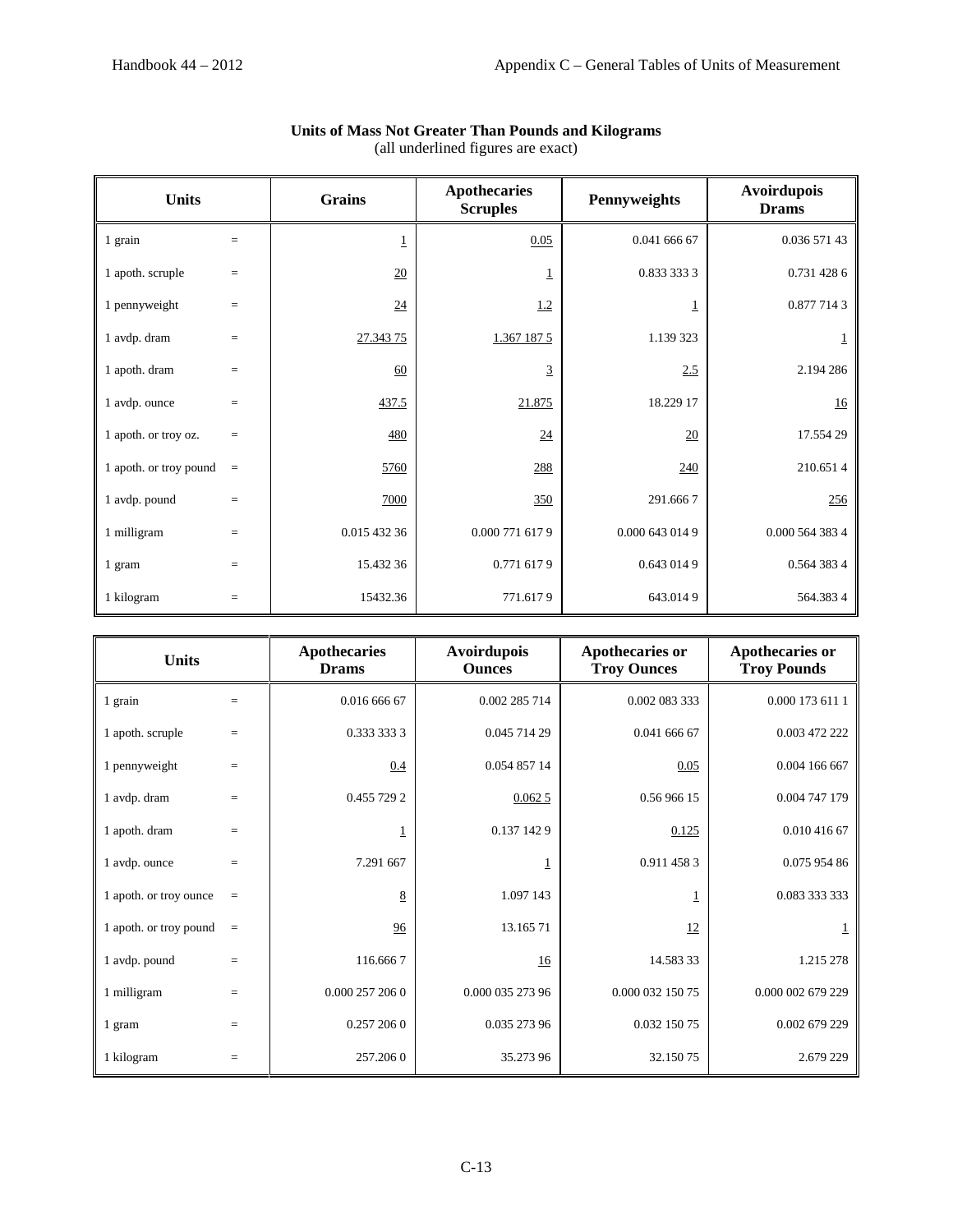<span id="page-12-0"></span>

| <b>Units</b>           |                 | <b>Grains</b>  | <b>Apothecaries</b><br><b>Scruples</b> | Pennyweights    | <b>Avoirdupois</b><br><b>Drams</b> |
|------------------------|-----------------|----------------|----------------------------------------|-----------------|------------------------------------|
| 1 grain                | $=$             | $\overline{1}$ | 0.05                                   | 0.041 666 67    | 0.036 571 43                       |
| 1 apoth. scruple       | $=$             | 20             | $\overline{1}$                         | 0.833 333 3     | 0.731 428 6                        |
| 1 pennyweight          | $=$             | 24             | 1.2                                    | <u>1</u>        | 0.877 714 3                        |
| 1 avdp. dram           | $=$             | 27.343 75      | 1.367 187 5                            | 1.139 323       | ⊥                                  |
| 1 apoth. dram          | $=$             | 60             | $\overline{3}$                         | 2.5             | 2.194 286                          |
| 1 avdp. ounce          | $=$             | 437.5          | 21.875                                 | 18.229 17       | 16                                 |
| 1 apoth. or troy oz.   | $=$             | 480            | 24                                     | 20              | 17.554 29                          |
| 1 apoth. or troy pound | $\quad \  \  =$ | 5760           | 288                                    | 240             | 210.6514                           |
| 1 avdp. pound          | $=$             | 7000           | 350                                    | 291.6667        | 256                                |
| 1 milligram            | $=$             | 0.015 432 36   | 0.000 771 617 9                        | 0.000 643 014 9 | 0.000 564 383 4                    |
| 1 gram                 | $=$             | 15.432 36      | 0.771 617 9                            | 0.643 014 9     | 0.564 383 4                        |
| 1 kilogram             | $=$             | 15432.36       | 771.6179                               | 643.0149        | 564.3834                           |

#### **Units of Mass Not Greater Than Pounds and Kilograms** (all underlined figures are exact)

| <b>Units</b>           |                 | <b>Apothecaries</b><br><b>Drams</b> | <b>Avoirdupois</b><br><b>Ounces</b> | <b>Apothecaries or</b><br><b>Troy Ounces</b> | <b>Apothecaries or</b><br><b>Troy Pounds</b> |
|------------------------|-----------------|-------------------------------------|-------------------------------------|----------------------------------------------|----------------------------------------------|
| 1 grain                | $=$             | 0.016 666 67                        | 0.002 285 714                       | 0.002 083 333                                | 0.000 173 611 1                              |
| 1 apoth. scruple       | $=$             | 0.333 333 3                         | 0.045 714 29                        | 0.041 666 67                                 | 0.003 472 222                                |
| 1 pennyweight          | $=$             | 0.4                                 | 0.054 857 14                        | 0.05                                         | 0.004 166 667                                |
| 1 avdp. dram           | $=$             | 0.455 729 2                         | 0.0625                              | 0.56 966 15                                  | 0.004 747 179                                |
| 1 apoth. dram          | $=$             | $\overline{1}$                      | 0.137 142 9                         | 0.125                                        | 0.010 416 67                                 |
| 1 avdp. ounce          | $=$             | 7.291 667                           | 1                                   | 0.911 458 3                                  | 0.075 954 86                                 |
| 1 apoth. or troy ounce | $=$             | 8                                   | 1.097 143                           | 1                                            | 0.083 333 333                                |
| 1 apoth. or troy pound | $\quad \  \, =$ | 96                                  | 13.165 71                           | 12                                           |                                              |
| 1 avdp. pound          | $=$             | 116.6667                            | 16                                  | 14.58333                                     | 1.215 278                                    |
| 1 milligram            | $=$             | 0.000 257 206 0                     | 0.000 035 273 96                    | 0.000 032 150 75                             | 0.000 002 679 229                            |
| 1 gram                 | $=$             | 0.257 206 0                         | 0.035 273 96                        | 0.032 150 75                                 | 0.002 679 229                                |
| 1 kilogram             | $=$             | 257.2060                            | 35.273 96                           | 32.15075                                     | 2.679 229                                    |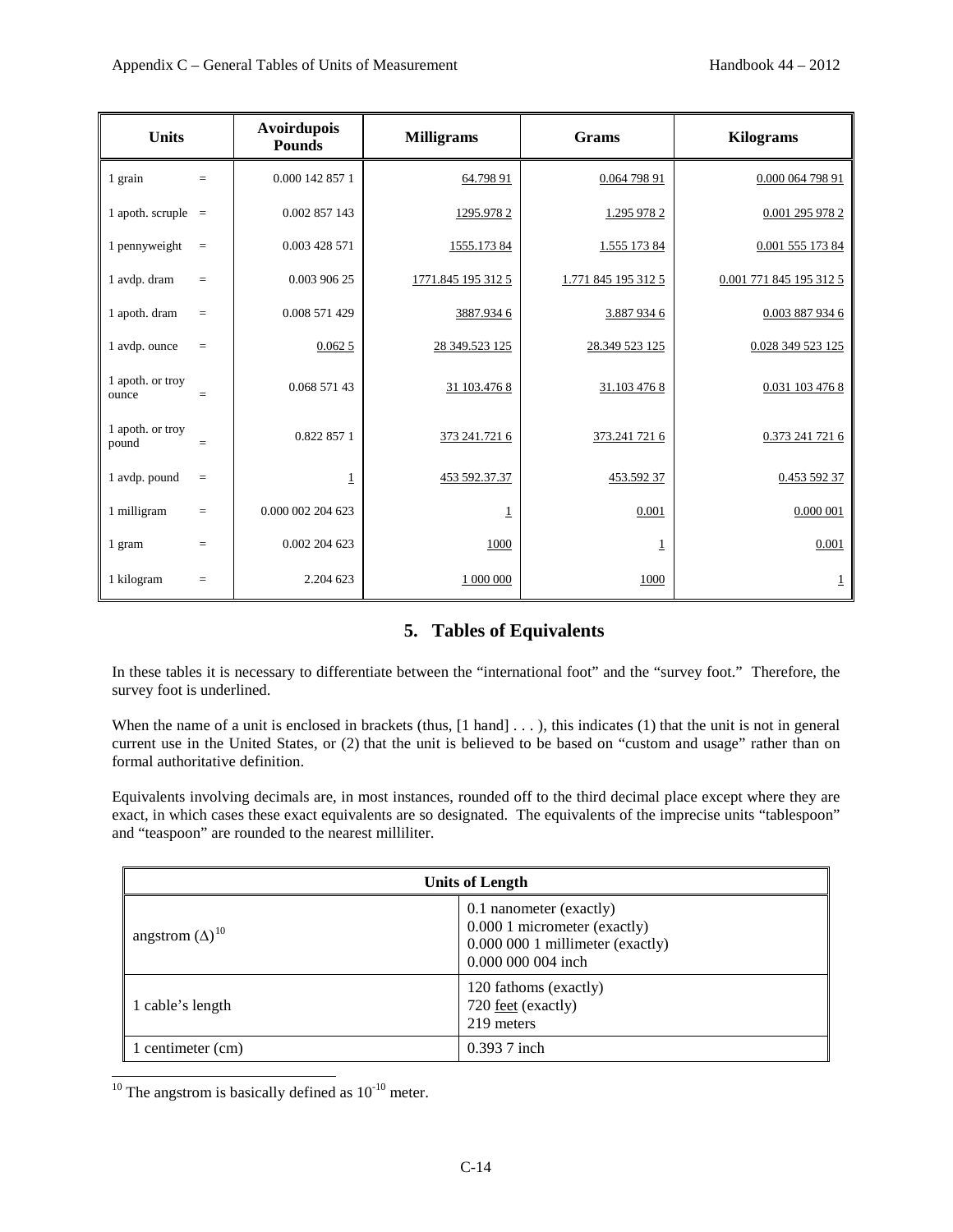| Units                     |           | <b>Avoirdupois</b><br><b>Pounds</b> | <b>Milligrams</b>  | Grams               | <b>Kilograms</b>        |
|---------------------------|-----------|-------------------------------------|--------------------|---------------------|-------------------------|
| 1 grain                   | $=$       | 0.000 142 857 1                     | 64.798 91          | 0.064 798 91        | 0.000 064 798 91        |
| 1 apoth. scruple $=$      |           | 0.002 857 143                       | 1295.9782          | 1.295 978 2         | 0.001 295 978 2         |
| 1 pennyweight             | $\quad =$ | 0.003 428 571                       | 1555.17384         | 1.555 173 84        | 0.001 555 173 84        |
| 1 avdp. dram              | $\quad =$ | 0.003 906 25                        | 1771.845 195 312 5 | 1.771 845 195 312 5 | 0.001 771 845 195 312 5 |
| 1 apoth. dram             | $\equiv$  | 0.008 571 429                       | 3887.9346          | 3.887 934 6         | 0.003 887 934 6         |
| 1 avdp. ounce             | $=$       | 0.0625                              | 28 349.523 125     | 28.349 523 125      | 0.028 349 523 125       |
| 1 apoth. or troy<br>ounce | $=$       | 0.068 571 43                        | 31 103.476 8       | 31.103 476 8        | 0.031 103 476 8         |
| 1 apoth. or troy<br>pound | $=$       | 0.822 857 1                         | 373 241.721 6      | 373.241 721 6       | 0.373 241 721 6         |
| 1 avdp. pound             | $\quad =$ | 1                                   | 453 592.37.37      | 453.59237           | 0.453 592 37            |
| 1 milligram               | $\quad =$ | 0.000 002 204 623                   | 1                  | 0.001               | 0.000 001               |
| 1 gram                    | $=$       | 0.002 204 623                       | 1000               | 1                   | 0.001                   |
| 1 kilogram                | $=$       | 2.204 623                           | 1 000 000          | 1000                |                         |

# **5. Tables of Equivalents**

<span id="page-13-0"></span>In these tables it is necessary to differentiate between the "international foot" and the "survey foot." Therefore, the survey foot is underlined.

When the name of a unit is enclosed in brackets (thus,  $[1 \text{ hand}] \dots$ ), this indicates (1) that the unit is not in general current use in the United States, or (2) that the unit is believed to be based on "custom and usage" rather than on formal authoritative definition.

Equivalents involving decimals are, in most instances, rounded off to the third decimal place except where they are exact, in which cases these exact equivalents are so designated. The equivalents of the imprecise units "tablespoon" and "teaspoon" are rounded to the nearest milliliter.

<span id="page-13-2"></span><span id="page-13-1"></span>

| <b>Units of Length</b>   |                                                                                                                   |  |
|--------------------------|-------------------------------------------------------------------------------------------------------------------|--|
| angstrom $(\Delta)^{10}$ | 0.1 nanometer (exactly)<br>0.000 1 micrometer (exactly)<br>0.000 000 1 millimeter (exactly)<br>0.000 000 004 inch |  |
| 1 cable's length         | 120 fathoms (exactly)<br>720 feet (exactly)<br>219 meters                                                         |  |
| 1 centimeter (cm)        | 0.393 7 inch                                                                                                      |  |

 $10$  The angstrom is basically defined as  $10^{-10}$  meter.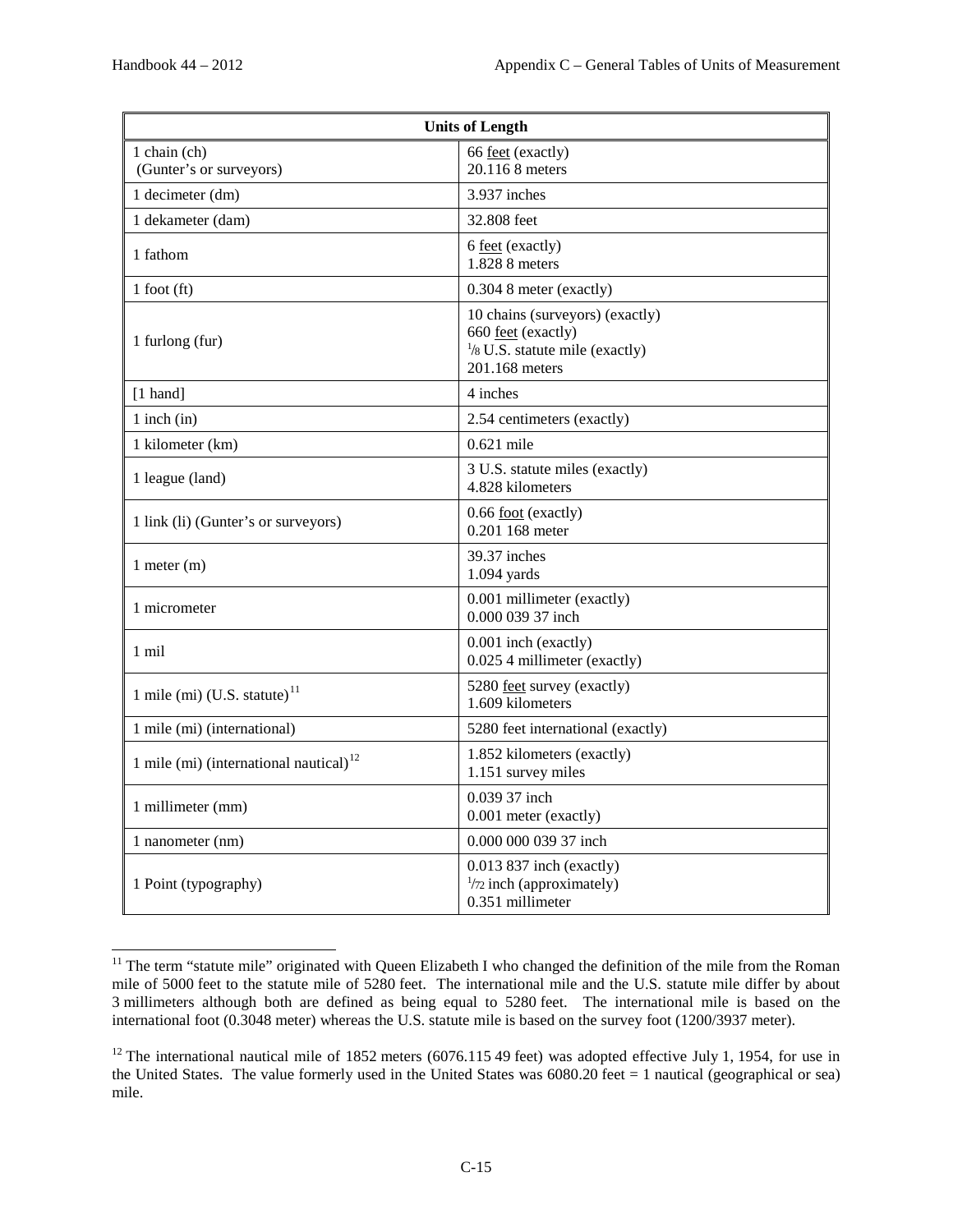| <b>Units of Length</b>                       |                                                                                                                      |  |  |
|----------------------------------------------|----------------------------------------------------------------------------------------------------------------------|--|--|
| 1 chain (ch)                                 | 66 feet (exactly)                                                                                                    |  |  |
| (Gunter's or surveyors)                      | 20.116 8 meters                                                                                                      |  |  |
| 1 decimeter (dm)                             | 3.937 inches                                                                                                         |  |  |
| 1 dekameter (dam)                            | 32.808 feet                                                                                                          |  |  |
| 1 fathom                                     | 6 feet (exactly)<br>1.828 8 meters                                                                                   |  |  |
| $1$ foot $(ft)$                              | 0.304 8 meter (exactly)                                                                                              |  |  |
| 1 furlong (fur)                              | 10 chains (surveyors) (exactly)<br>660 feet (exactly)<br>$\frac{1}{8}$ U.S. statute mile (exactly)<br>201.168 meters |  |  |
| [1 hand]                                     | 4 inches                                                                                                             |  |  |
| $1$ inch (in)                                | 2.54 centimeters (exactly)                                                                                           |  |  |
| 1 kilometer (km)                             | $0.621$ mile                                                                                                         |  |  |
| 1 league (land)                              | 3 U.S. statute miles (exactly)<br>4.828 kilometers                                                                   |  |  |
| 1 link (li) (Gunter's or surveyors)          | 0.66 foot (exactly)<br>0.201 168 meter                                                                               |  |  |
| $1$ meter $(m)$                              | 39.37 inches<br>1.094 yards                                                                                          |  |  |
| 1 micrometer                                 | 0.001 millimeter (exactly)<br>0.000 039 37 inch                                                                      |  |  |
| 1 mil                                        | 0.001 inch (exactly)<br>0.025 4 millimeter (exactly)                                                                 |  |  |
| 1 mile (mi) (U.S. statute) $11$              | 5280 feet survey (exactly)<br>1.609 kilometers                                                                       |  |  |
| 1 mile (mi) (international)                  | 5280 feet international (exactly)                                                                                    |  |  |
| 1 mile (mi) (international nautical) $^{12}$ | 1.852 kilometers (exactly)<br>1.151 survey miles                                                                     |  |  |
| 1 millimeter (mm)                            | 0.039 37 inch<br>0.001 meter (exactly)                                                                               |  |  |
| 1 nanometer (nm)                             | 0.000 000 039 37 inch                                                                                                |  |  |
| 1 Point (typography)                         | $0.013$ 837 inch (exactly)<br>$\frac{1}{72}$ inch (approximately)<br>0.351 millimeter                                |  |  |

<span id="page-14-1"></span><sup>&</sup>lt;sup>11</sup> The term "statute mile" originated with Queen Elizabeth I who changed the definition of the mile from the Roman mile of 5000 feet to the statute mile of 5280 feet. The international mile and the U.S. statute mile differ by about 3 millimeters although both are defined as being equal to 5280 feet. The international mile is based on the international foot (0.3048 meter) whereas the U.S. statute mile is based on the survey foot (1200/3937 meter).

<span id="page-14-0"></span> $12$  The international nautical mile of 1852 meters (6076.115 49 feet) was adopted effective July 1, 1954, for use in the United States. The value formerly used in the United States was 6080.20 feet = 1 nautical (geographical or sea) mile.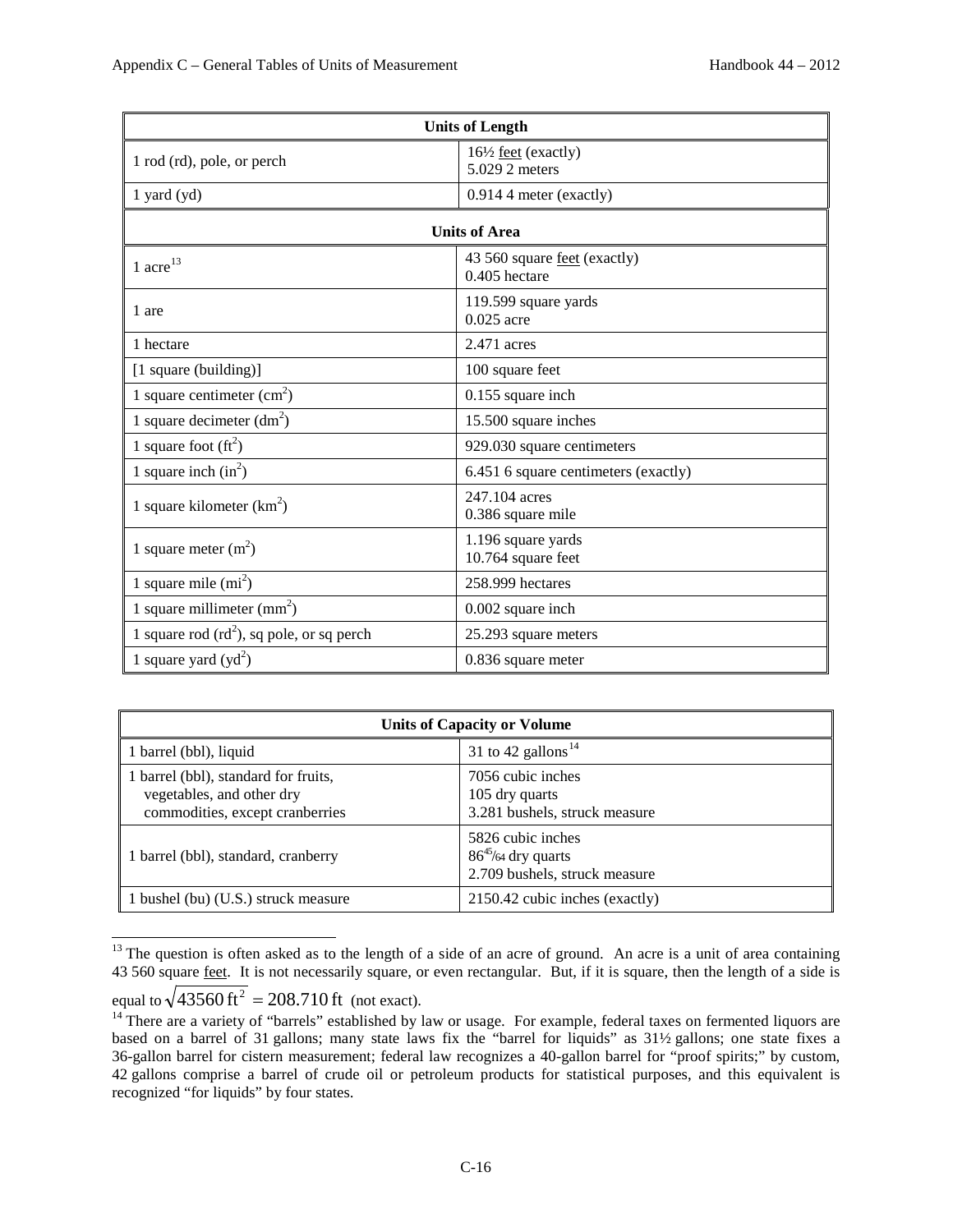<span id="page-15-0"></span>

| <b>Units of Length</b>                              |                                                      |  |  |
|-----------------------------------------------------|------------------------------------------------------|--|--|
| 1 rod (rd), pole, or perch                          | 16½ feet (exactly)<br>5.029 2 meters                 |  |  |
| 1 yard (yd)                                         | 0.914 4 meter (exactly)                              |  |  |
| <b>Units of Area</b>                                |                                                      |  |  |
| 1 $\mathrm{acre}^{13}$                              | 43 560 square <u>feet</u> (exactly)<br>0.405 hectare |  |  |
| 1 are                                               | 119.599 square yards<br>$0.025$ acre                 |  |  |
| 1 hectare                                           | 2.471 acres                                          |  |  |
| [1 square (building)]                               | 100 square feet                                      |  |  |
| 1 square centimeter $(cm2)$                         | 0.155 square inch                                    |  |  |
| 1 square decimeter $(dm2)$                          | 15.500 square inches                                 |  |  |
| 1 square foot $(ft^2)$                              | 929.030 square centimeters                           |  |  |
| 1 square inch $(in^2)$                              | 6.451 6 square centimeters (exactly)                 |  |  |
| 1 square kilometer $(km^2)$                         | 247.104 acres<br>0.386 square mile                   |  |  |
| 1 square meter $(m2)$                               | 1.196 square yards<br>10.764 square feet             |  |  |
| 1 square mile $(mi^2)$                              | 258,999 hectares                                     |  |  |
| 1 square millimeter $(mm2)$                         | 0.002 square inch                                    |  |  |
| 1 square rod $\text{(rd}^2)$ , sq pole, or sq perch | 25.293 square meters                                 |  |  |
| 1 square yard $(yd^2)$                              | 0.836 square meter                                   |  |  |

<span id="page-15-1"></span>

| <b>Units of Capacity or Volume</b>                                                                   |                                                                                |  |
|------------------------------------------------------------------------------------------------------|--------------------------------------------------------------------------------|--|
| 1 barrel (bbl), liquid                                                                               | 31 to 42 gallons <sup>14</sup>                                                 |  |
| 1 barrel (bbl), standard for fruits,<br>vegetables, and other dry<br>commodities, except cranberries | 7056 cubic inches<br>105 dry quarts<br>3.281 bushels, struck measure           |  |
| 1 barrel (bbl), standard, cranberry                                                                  | 5826 cubic inches<br>$86^{45}$ /64 dry quarts<br>2.709 bushels, struck measure |  |
| 1 bushel (bu) (U.S.) struck measure                                                                  | 2150.42 cubic inches (exactly)                                                 |  |

<sup>&</sup>lt;sup>13</sup> The question is often asked as to the length of a side of an acre of ground. An acre is a unit of area containing 43 560 square <u>feet</u>. It is not necessarily square, or even rectangular. But, if it is square, then the length of a side is

equal to  $\sqrt{43560 \text{ ft}^2}$  = 208.710 ft (not exact).

<span id="page-15-3"></span><span id="page-15-2"></span> $14$ <sup>14</sup> There are a variety of "barrels" established by law or usage. For example, federal taxes on fermented liquors are based on a barrel of 31 gallons; many state laws fix the "barrel for liquids" as 31½ gallons; one state fixes a 36-gallon barrel for cistern measurement; federal law recognizes a 40-gallon barrel for "proof spirits;" by custom, 42 gallons comprise a barrel of crude oil or petroleum products for statistical purposes, and this equivalent is recognized "for liquids" by four states.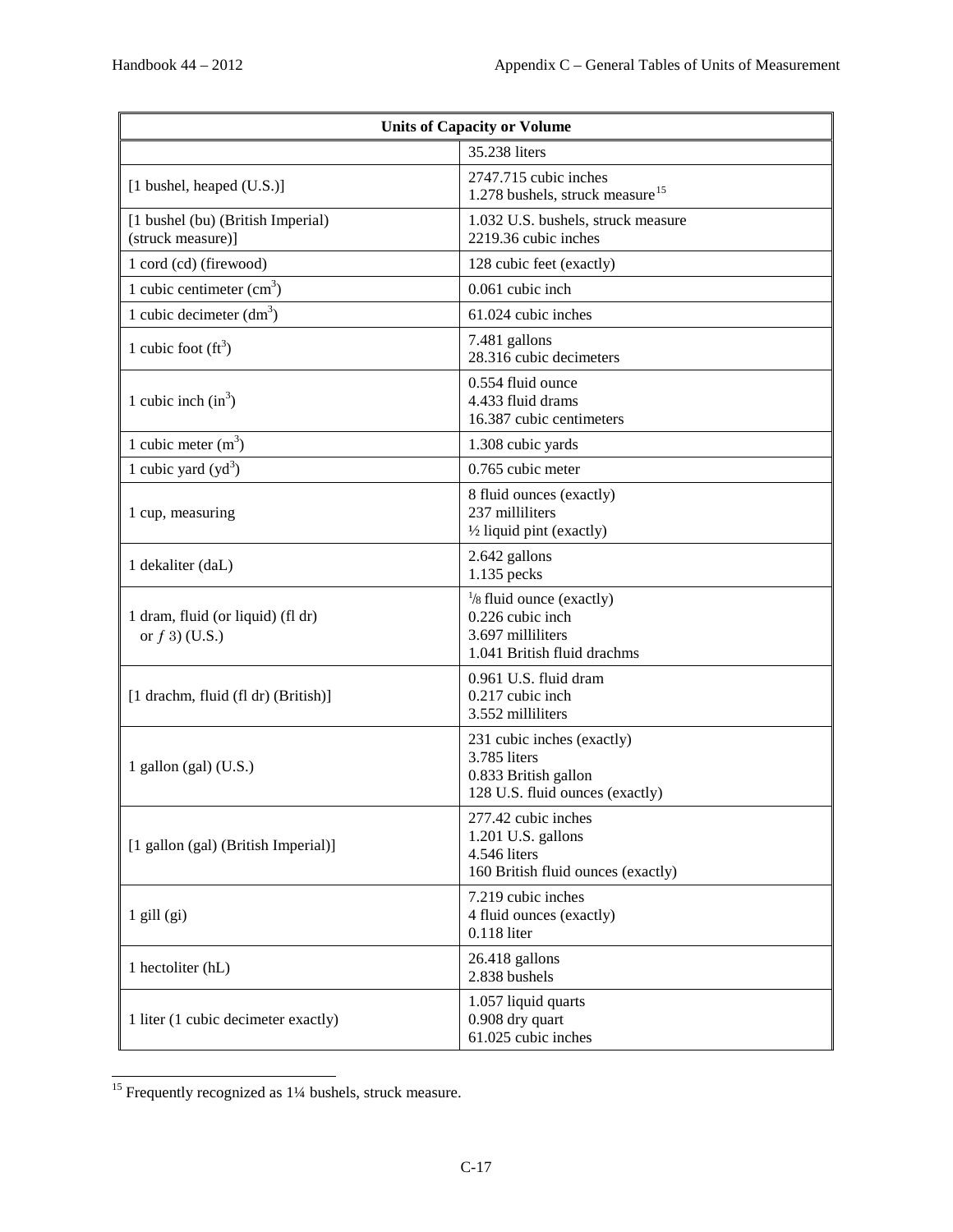| <b>Units of Capacity or Volume</b>                     |                                                                                                             |  |  |
|--------------------------------------------------------|-------------------------------------------------------------------------------------------------------------|--|--|
|                                                        | 35.238 liters                                                                                               |  |  |
| [1 bushel, heaped $(U.S.)$ ]                           | 2747.715 cubic inches<br>1.278 bushels, struck measure <sup>15</sup>                                        |  |  |
| [1 bushel (bu) (British Imperial)<br>(struck measure)] | 1.032 U.S. bushels, struck measure<br>2219.36 cubic inches                                                  |  |  |
| 1 cord (cd) (firewood)                                 | 128 cubic feet (exactly)                                                                                    |  |  |
| 1 cubic centimeter $(cm3)$                             | 0.061 cubic inch                                                                                            |  |  |
| 1 cubic decimeter $(dm3)$                              | 61.024 cubic inches                                                                                         |  |  |
| 1 cubic foot $(ft^3)$                                  | 7.481 gallons<br>28.316 cubic decimeters                                                                    |  |  |
| 1 cubic inch $(in^3)$                                  | 0.554 fluid ounce<br>4.433 fluid drams<br>16.387 cubic centimeters                                          |  |  |
| 1 cubic meter $(m3)$                                   | 1.308 cubic yards                                                                                           |  |  |
| 1 cubic yard $(yd^3)$                                  | 0.765 cubic meter                                                                                           |  |  |
| 1 cup, measuring                                       | 8 fluid ounces (exactly)<br>237 milliliters<br>1/2 liquid pint (exactly)                                    |  |  |
| 1 dekaliter (daL)                                      | 2.642 gallons<br>1.135 pecks                                                                                |  |  |
| 1 dram, fluid (or liquid) (fl dr)<br>or $f(3)$ (U.S.)  | $\frac{1}{8}$ fluid ounce (exactly)<br>0.226 cubic inch<br>3.697 milliliters<br>1.041 British fluid drachms |  |  |
| [1 drachm, fluid (fl dr) (British)]                    | 0.961 U.S. fluid dram<br>0.217 cubic inch<br>3.552 milliliters                                              |  |  |
| 1 gallon (gal) $(U.S.)$                                | 231 cubic inches (exactly)<br>3.785 liters<br>0.833 British gallon<br>128 U.S. fluid ounces (exactly)       |  |  |
| [1 gallon (gal) (British Imperial)]                    | 277.42 cubic inches<br>1.201 U.S. gallons<br>4.546 liters<br>160 British fluid ounces (exactly)             |  |  |
| $1$ gill (gi)                                          | 7.219 cubic inches<br>4 fluid ounces (exactly)<br>$0.118$ liter                                             |  |  |
| 1 hectoliter (hL)                                      | 26.418 gallons<br>2.838 bushels                                                                             |  |  |
| 1 liter (1 cubic decimeter exactly)                    | 1.057 liquid quarts<br>0.908 dry quart<br>61.025 cubic inches                                               |  |  |

<span id="page-16-0"></span><sup>&</sup>lt;sup>15</sup> Frequently recognized as 1<sup>1</sup>/<sub>4</sub> bushels, struck measure.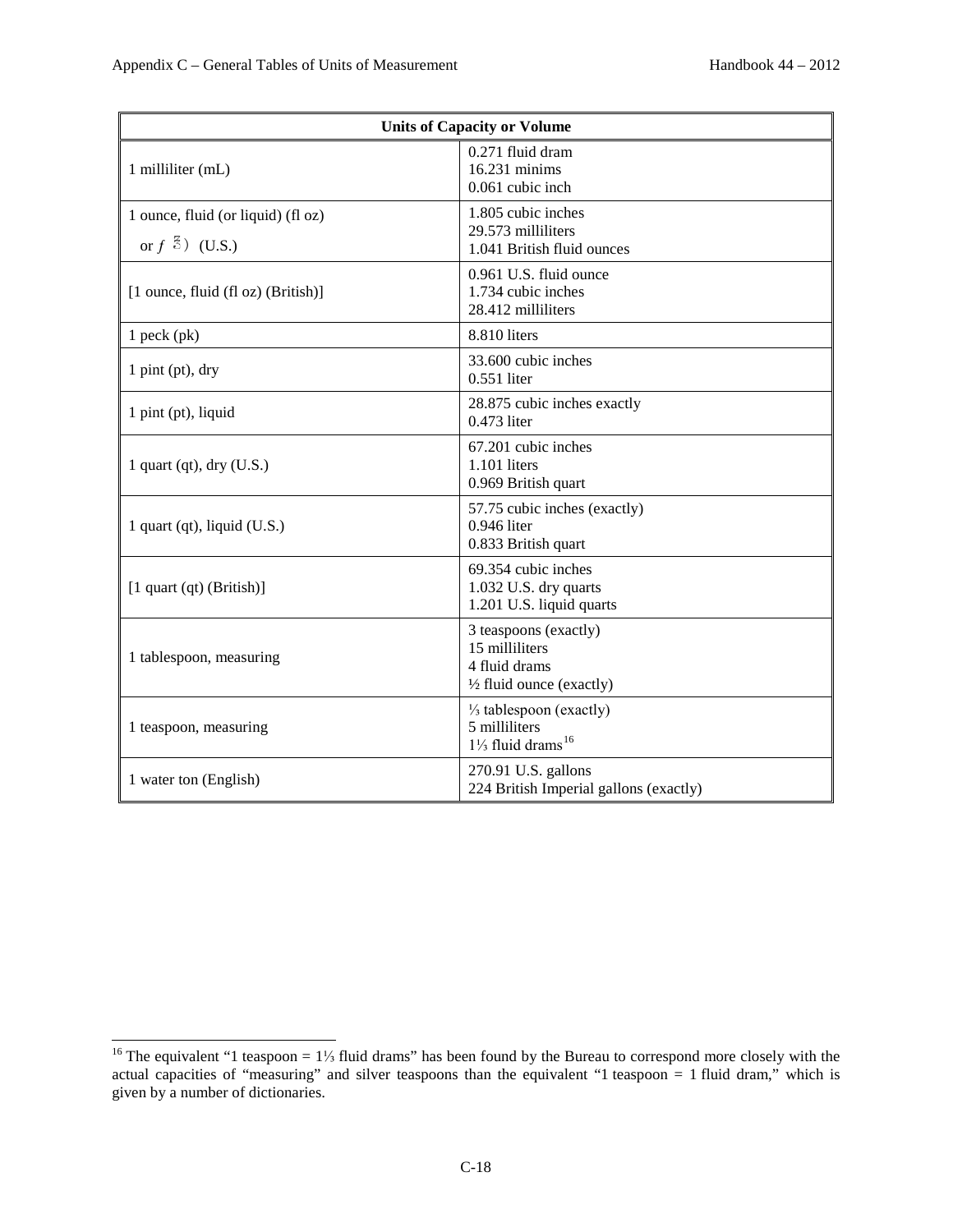| <b>Units of Capacity or Volume</b>                               |                                                                                                 |  |
|------------------------------------------------------------------|-------------------------------------------------------------------------------------------------|--|
| 1 milliliter (mL)                                                | $0.271$ fluid dram<br>16.231 minims<br>0.061 cubic inch                                         |  |
| 1 ounce, fluid (or liquid) (fl oz)<br>or $f(\frac{5}{3})$ (U.S.) | 1.805 cubic inches<br>29.573 milliliters<br>1.041 British fluid ounces                          |  |
| [1 ounce, fluid (fl oz) (British)]                               | 0.961 U.S. fluid ounce<br>1.734 cubic inches<br>28.412 milliliters                              |  |
| $1$ peck (pk)                                                    | 8.810 liters                                                                                    |  |
| $1$ pint (pt), dry                                               | 33.600 cubic inches<br>$0.551$ liter                                                            |  |
| 1 pint (pt), liquid                                              | 28.875 cubic inches exactly<br>0.473 liter                                                      |  |
| 1 quart (qt), $\text{dry (U.S.)}$                                | 67.201 cubic inches<br>1.101 liters<br>0.969 British quart                                      |  |
| 1 quart (qt), liquid $(U.S.)$                                    | 57.75 cubic inches (exactly)<br>0.946 liter<br>0.833 British quart                              |  |
| $[1$ quart (qt) (British)]                                       | 69.354 cubic inches<br>1.032 U.S. dry quarts<br>1.201 U.S. liquid quarts                        |  |
| 1 tablespoon, measuring                                          | 3 teaspoons (exactly)<br>15 milliliters<br>4 fluid drams<br>1/2 fluid ounce (exactly)           |  |
| 1 teaspoon, measuring                                            | $\frac{1}{3}$ tablespoon (exactly)<br>5 milliliters<br>$1\frac{1}{3}$ fluid drams <sup>16</sup> |  |
| 1 water ton (English)                                            | 270.91 U.S. gallons<br>224 British Imperial gallons (exactly)                                   |  |

<span id="page-17-0"></span><sup>&</sup>lt;sup>16</sup> The equivalent "1 teaspoon =  $1\frac{1}{3}$  fluid drams" has been found by the Bureau to correspond more closely with the actual capacities of "measuring" and silver teaspoons than the equivalent "1 teaspoon = 1 fluid dram," which is given by a number of dictionaries.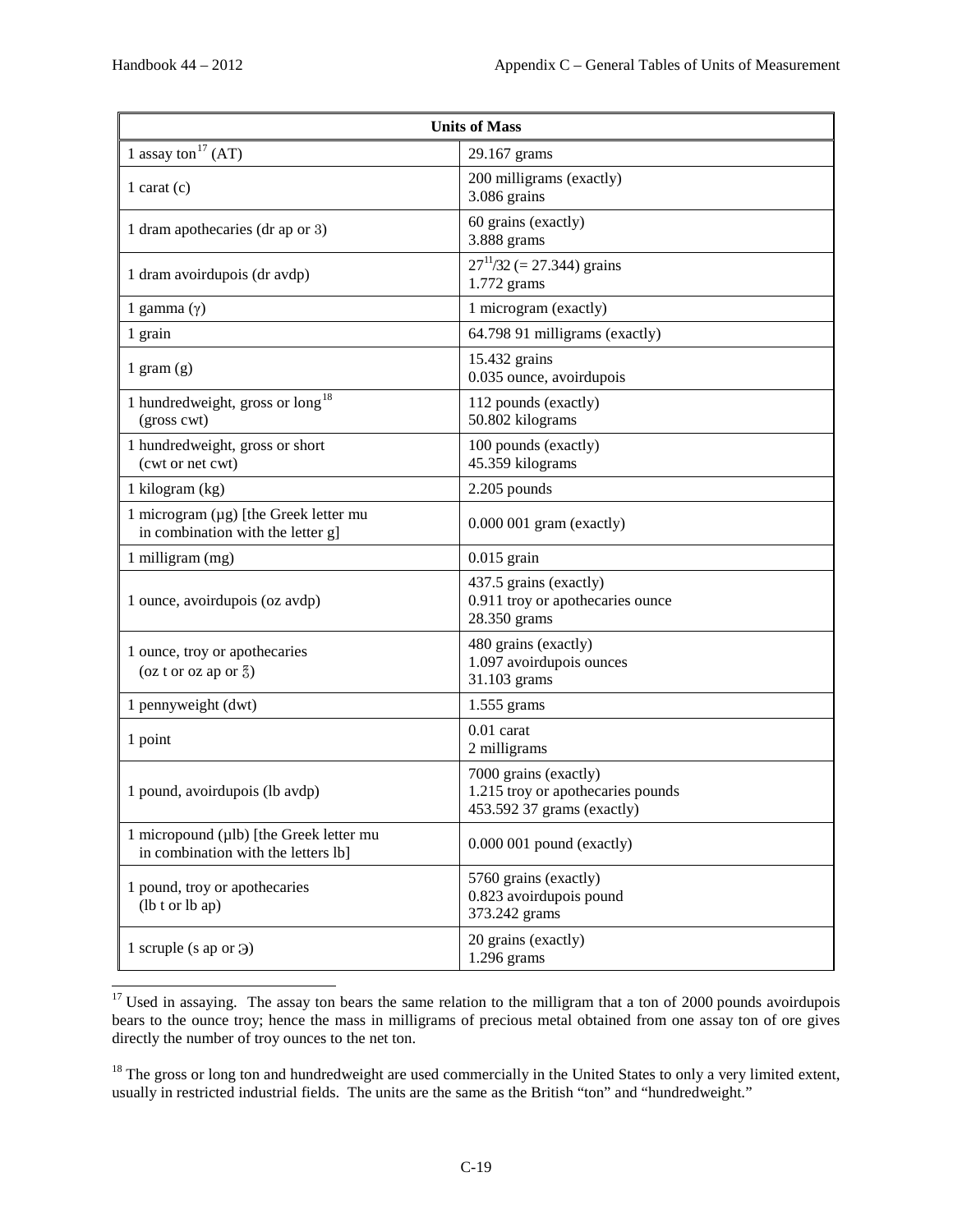<span id="page-18-0"></span>

| <b>Units of Mass</b>                                                                |                                                                                          |  |  |
|-------------------------------------------------------------------------------------|------------------------------------------------------------------------------------------|--|--|
| 1 assay ton <sup>17</sup> (AT)                                                      | 29.167 grams                                                                             |  |  |
| 1 carat $(c)$                                                                       | 200 milligrams (exactly)<br>3.086 grains                                                 |  |  |
| 1 dram apothecaries (dr ap or 3)                                                    | 60 grains (exactly)<br>3.888 grams                                                       |  |  |
| 1 dram avoirdupois (dr avdp)                                                        | $27^{11}/32$ (= 27.344) grains<br>$1.772$ grams                                          |  |  |
| 1 gamma (γ)                                                                         | 1 microgram (exactly)                                                                    |  |  |
| 1 grain                                                                             | 64.798 91 milligrams (exactly)                                                           |  |  |
| $1 \text{ gram} (g)$                                                                | 15.432 grains<br>0.035 ounce, avoirdupois                                                |  |  |
| 1 hundredweight, gross or $\log^{18}$<br>(gross cwt)                                | 112 pounds (exactly)<br>50.802 kilograms                                                 |  |  |
| 1 hundredweight, gross or short<br>(cwt or net cwt)                                 | 100 pounds (exactly)<br>45.359 kilograms                                                 |  |  |
| 1 kilogram (kg)                                                                     | 2.205 pounds                                                                             |  |  |
| 1 microgram $(\mu g)$ [the Greek letter mu<br>in combination with the letter g]     | $0.000001$ gram (exactly)                                                                |  |  |
| 1 milligram (mg)                                                                    | $0.015$ grain                                                                            |  |  |
| 1 ounce, avoirdupois (oz avdp)                                                      | 437.5 grains (exactly)<br>0.911 troy or apothecaries ounce<br>28.350 grams               |  |  |
| 1 ounce, troy or apothecaries<br>(oz t or oz ap or $\frac{7}{3}$ )                  | 480 grains (exactly)<br>1.097 avoirdupois ounces<br>31.103 grams                         |  |  |
| 1 pennyweight (dwt)                                                                 | 1.555 grams                                                                              |  |  |
| 1 point                                                                             | $0.01$ carat<br>2 milligrams                                                             |  |  |
| 1 pound, avoirdupois (lb avdp)                                                      | 7000 grains (exactly)<br>1.215 troy or apothecaries pounds<br>453.592 37 grams (exactly) |  |  |
| 1 micropound $(\mu Ib)$ [the Greek letter mu<br>in combination with the letters lb] | $0.000001$ pound (exactly)                                                               |  |  |
| 1 pound, troy or apothecaries<br>(lb t or lb ap)                                    | 5760 grains (exactly)<br>0.823 avoirdupois pound<br>373.242 grams                        |  |  |
| 1 scruple (s ap or $\vartheta$ )                                                    | 20 grains (exactly)<br>$1.296$ grams                                                     |  |  |

 $17$  Used in assaying. The assay ton bears the same relation to the milligram that a ton of 2000 pounds avoirdupois bears to the ounce troy; hence the mass in milligrams of precious metal obtained from one assay ton of ore gives directly the number of troy ounces to the net ton.

<span id="page-18-1"></span> $18$  The gross or long ton and hundredweight are used commercially in the United States to only a very limited extent, usually in restricted industrial fields. The units are the same as the British "ton" and "hundredweight."